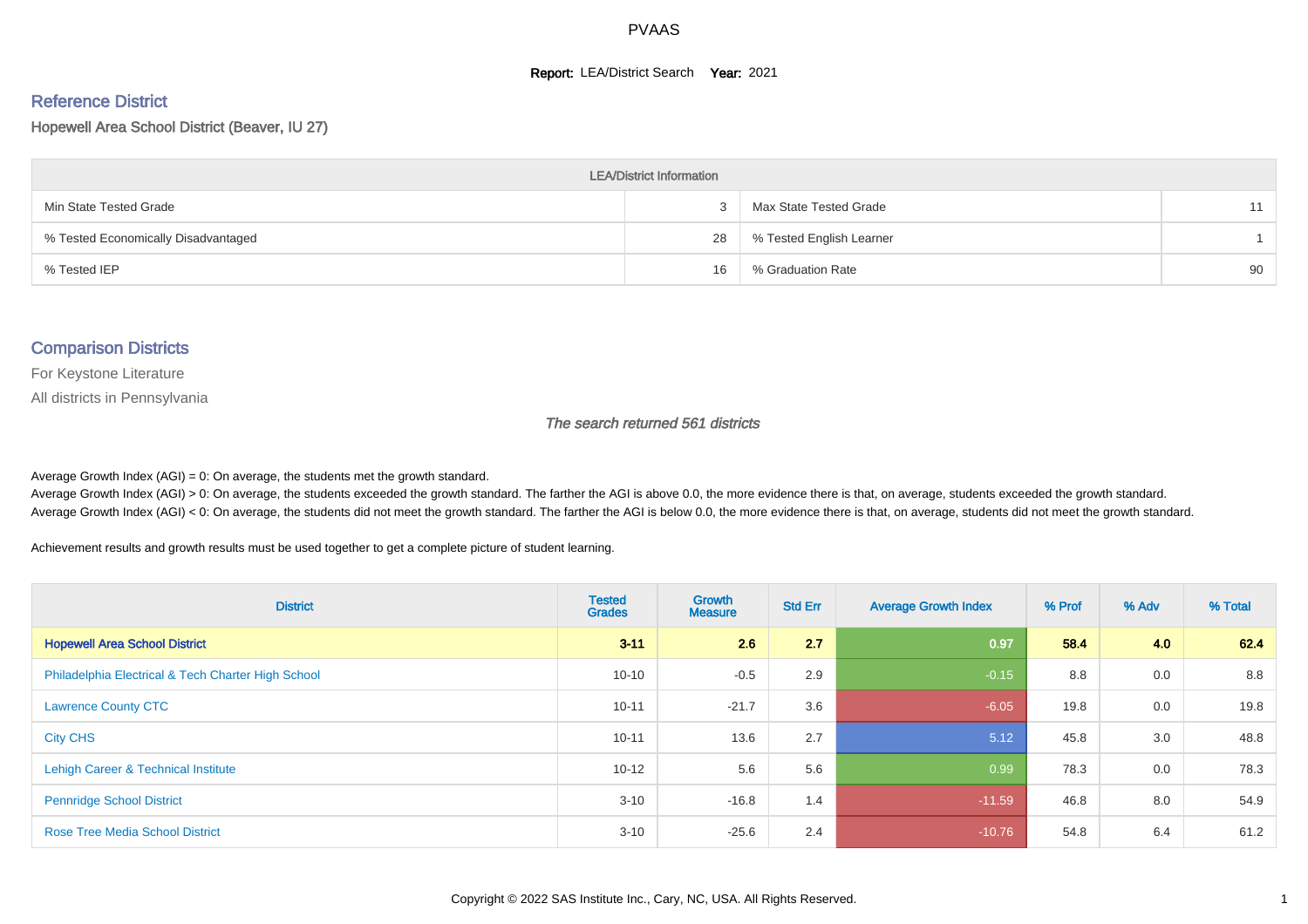#### **Report: LEA/District Search Year: 2021**

# Reference District

Hopewell Area School District (Beaver, IU 27)

| <b>LEA/District Information</b>     |    |                          |    |  |  |  |  |  |  |  |
|-------------------------------------|----|--------------------------|----|--|--|--|--|--|--|--|
| Min State Tested Grade              |    | Max State Tested Grade   | 11 |  |  |  |  |  |  |  |
| % Tested Economically Disadvantaged | 28 | % Tested English Learner |    |  |  |  |  |  |  |  |
| % Tested IEP                        | 16 | % Graduation Rate        | 90 |  |  |  |  |  |  |  |

#### Comparison Districts

For Keystone Literature

All districts in Pennsylvania

The search returned 561 districts

Average Growth Index  $(AGI) = 0$ : On average, the students met the growth standard.

Average Growth Index (AGI) > 0: On average, the students exceeded the growth standard. The farther the AGI is above 0.0, the more evidence there is that, on average, students exceeded the growth standard. Average Growth Index (AGI) < 0: On average, the students did not meet the growth standard. The farther the AGI is below 0.0, the more evidence there is that, on average, students did not meet the growth standard.

Achievement results and growth results must be used together to get a complete picture of student learning.

| <b>District</b>                                    | <b>Tested</b><br><b>Grades</b> | <b>Growth</b><br><b>Measure</b> | <b>Std Err</b> | <b>Average Growth Index</b> | % Prof | % Adv | % Total |
|----------------------------------------------------|--------------------------------|---------------------------------|----------------|-----------------------------|--------|-------|---------|
| <b>Hopewell Area School District</b>               | $3 - 11$                       | 2.6                             | 2.7            | 0.97                        | 58.4   | 4.0   | 62.4    |
| Philadelphia Electrical & Tech Charter High School | $10 - 10$                      | $-0.5$                          | 2.9            | $-0.15$                     | 8.8    | 0.0   | 8.8     |
| <b>Lawrence County CTC</b>                         | $10 - 11$                      | $-21.7$                         | 3.6            | $-6.05$                     | 19.8   | 0.0   | 19.8    |
| <b>City CHS</b>                                    | $10 - 11$                      | 13.6                            | 2.7            | 5.12                        | 45.8   | 3.0   | 48.8    |
| Lehigh Career & Technical Institute                | $10 - 12$                      | 5.6                             | 5.6            | 0.99                        | 78.3   | 0.0   | 78.3    |
| <b>Pennridge School District</b>                   | $3 - 10$                       | $-16.8$                         | 1.4            | $-11.59$                    | 46.8   | 8.0   | 54.9    |
| <b>Rose Tree Media School District</b>             | $3 - 10$                       | $-25.6$                         | 2.4            | $-10.76$                    | 54.8   | 6.4   | 61.2    |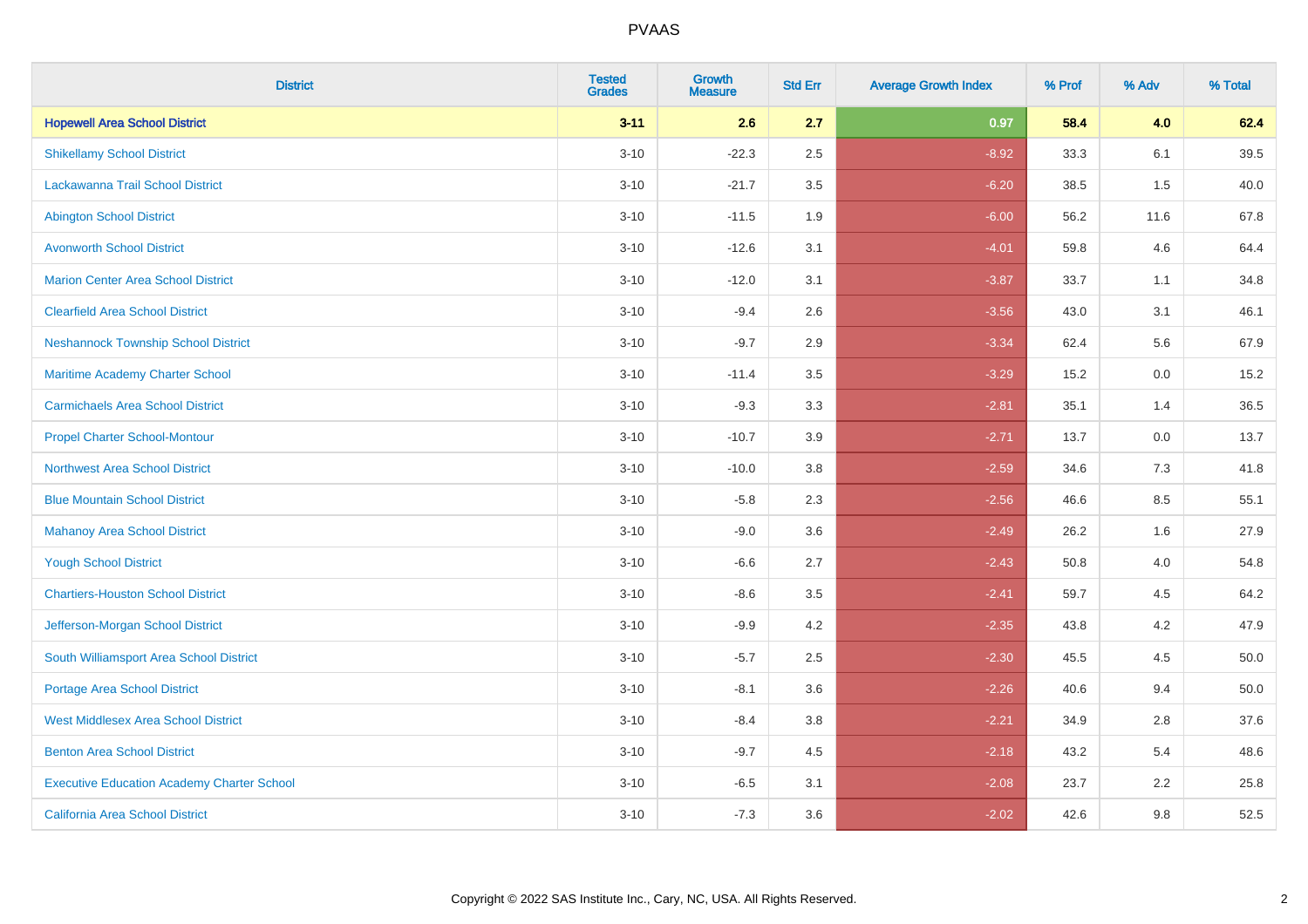| <b>District</b>                                   | <b>Tested</b><br><b>Grades</b> | <b>Growth</b><br><b>Measure</b> | <b>Std Err</b> | <b>Average Growth Index</b> | % Prof | % Adv | % Total |
|---------------------------------------------------|--------------------------------|---------------------------------|----------------|-----------------------------|--------|-------|---------|
| <b>Hopewell Area School District</b>              | $3 - 11$                       | 2.6                             | 2.7            | 0.97                        | 58.4   | 4.0   | 62.4    |
| <b>Shikellamy School District</b>                 | $3 - 10$                       | $-22.3$                         | 2.5            | $-8.92$                     | 33.3   | 6.1   | 39.5    |
| <b>Lackawanna Trail School District</b>           | $3 - 10$                       | $-21.7$                         | 3.5            | $-6.20$                     | 38.5   | 1.5   | 40.0    |
| <b>Abington School District</b>                   | $3 - 10$                       | $-11.5$                         | 1.9            | $-6.00$                     | 56.2   | 11.6  | 67.8    |
| <b>Avonworth School District</b>                  | $3 - 10$                       | $-12.6$                         | 3.1            | $-4.01$                     | 59.8   | 4.6   | 64.4    |
| <b>Marion Center Area School District</b>         | $3 - 10$                       | $-12.0$                         | 3.1            | $-3.87$                     | 33.7   | 1.1   | 34.8    |
| <b>Clearfield Area School District</b>            | $3 - 10$                       | $-9.4$                          | 2.6            | $-3.56$                     | 43.0   | 3.1   | 46.1    |
| <b>Neshannock Township School District</b>        | $3 - 10$                       | $-9.7$                          | 2.9            | $-3.34$                     | 62.4   | 5.6   | 67.9    |
| Maritime Academy Charter School                   | $3 - 10$                       | $-11.4$                         | 3.5            | $-3.29$                     | 15.2   | 0.0   | 15.2    |
| <b>Carmichaels Area School District</b>           | $3 - 10$                       | $-9.3$                          | 3.3            | $-2.81$                     | 35.1   | 1.4   | 36.5    |
| <b>Propel Charter School-Montour</b>              | $3 - 10$                       | $-10.7$                         | 3.9            | $-2.71$                     | 13.7   | 0.0   | 13.7    |
| <b>Northwest Area School District</b>             | $3 - 10$                       | $-10.0$                         | 3.8            | $-2.59$                     | 34.6   | 7.3   | 41.8    |
| <b>Blue Mountain School District</b>              | $3 - 10$                       | $-5.8$                          | 2.3            | $-2.56$                     | 46.6   | 8.5   | 55.1    |
| <b>Mahanoy Area School District</b>               | $3 - 10$                       | $-9.0$                          | 3.6            | $-2.49$                     | 26.2   | 1.6   | 27.9    |
| <b>Yough School District</b>                      | $3 - 10$                       | $-6.6$                          | 2.7            | $-2.43$                     | 50.8   | 4.0   | 54.8    |
| <b>Chartiers-Houston School District</b>          | $3 - 10$                       | $-8.6$                          | 3.5            | $-2.41$                     | 59.7   | 4.5   | 64.2    |
| Jefferson-Morgan School District                  | $3 - 10$                       | $-9.9$                          | 4.2            | $-2.35$                     | 43.8   | 4.2   | 47.9    |
| South Williamsport Area School District           | $3 - 10$                       | $-5.7$                          | 2.5            | $-2.30$                     | 45.5   | 4.5   | 50.0    |
| Portage Area School District                      | $3 - 10$                       | $-8.1$                          | 3.6            | $-2.26$                     | 40.6   | 9.4   | 50.0    |
| <b>West Middlesex Area School District</b>        | $3 - 10$                       | $-8.4$                          | 3.8            | $-2.21$                     | 34.9   | 2.8   | 37.6    |
| <b>Benton Area School District</b>                | $3 - 10$                       | $-9.7$                          | 4.5            | $-2.18$                     | 43.2   | 5.4   | 48.6    |
| <b>Executive Education Academy Charter School</b> | $3 - 10$                       | $-6.5$                          | 3.1            | $-2.08$                     | 23.7   | 2.2   | 25.8    |
| California Area School District                   | $3 - 10$                       | $-7.3$                          | 3.6            | $-2.02$                     | 42.6   | 9.8   | 52.5    |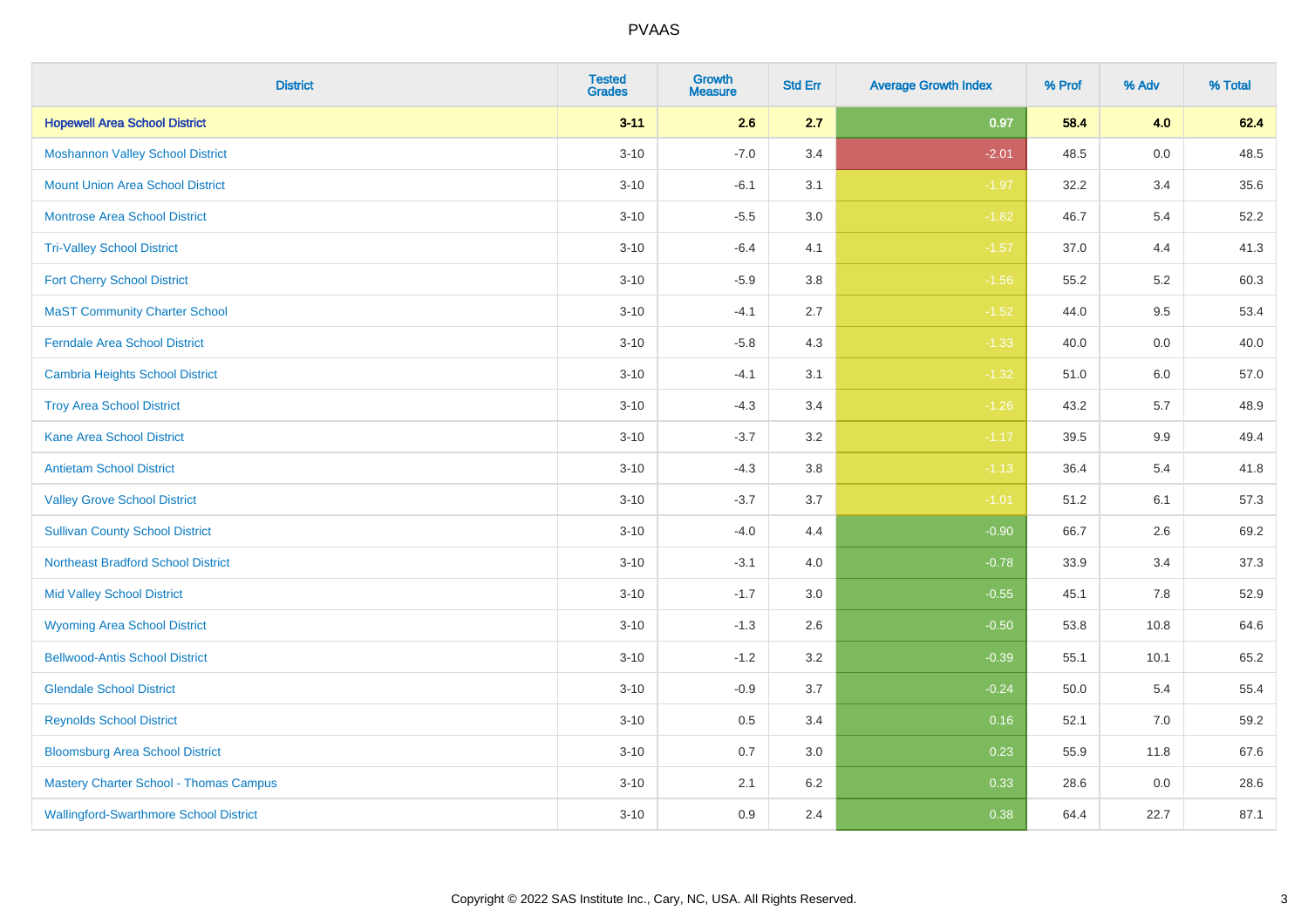| <b>District</b>                               | <b>Tested</b><br><b>Grades</b> | <b>Growth</b><br><b>Measure</b> | <b>Std Err</b> | <b>Average Growth Index</b> | % Prof | % Adv   | % Total |
|-----------------------------------------------|--------------------------------|---------------------------------|----------------|-----------------------------|--------|---------|---------|
| <b>Hopewell Area School District</b>          | $3 - 11$                       | 2.6                             | 2.7            | 0.97                        | 58.4   | 4.0     | 62.4    |
| <b>Moshannon Valley School District</b>       | $3 - 10$                       | $-7.0$                          | 3.4            | $-2.01$                     | 48.5   | $0.0\,$ | 48.5    |
| <b>Mount Union Area School District</b>       | $3 - 10$                       | $-6.1$                          | 3.1            | $-1.97$                     | 32.2   | 3.4     | 35.6    |
| <b>Montrose Area School District</b>          | $3 - 10$                       | $-5.5$                          | $3.0\,$        | $-1.82$                     | 46.7   | 5.4     | 52.2    |
| <b>Tri-Valley School District</b>             | $3 - 10$                       | $-6.4$                          | 4.1            | $-1.57$                     | 37.0   | 4.4     | 41.3    |
| <b>Fort Cherry School District</b>            | $3 - 10$                       | $-5.9$                          | 3.8            | $-1.56$                     | 55.2   | 5.2     | 60.3    |
| <b>MaST Community Charter School</b>          | $3 - 10$                       | $-4.1$                          | 2.7            | $-1.52$                     | 44.0   | 9.5     | 53.4    |
| <b>Ferndale Area School District</b>          | $3 - 10$                       | $-5.8$                          | 4.3            | $-1.33$                     | 40.0   | 0.0     | 40.0    |
| <b>Cambria Heights School District</b>        | $3 - 10$                       | $-4.1$                          | 3.1            | $-1.32$                     | 51.0   | 6.0     | 57.0    |
| <b>Troy Area School District</b>              | $3 - 10$                       | $-4.3$                          | 3.4            | $-1.26$                     | 43.2   | 5.7     | 48.9    |
| <b>Kane Area School District</b>              | $3 - 10$                       | $-3.7$                          | 3.2            | $-1.17$                     | 39.5   | 9.9     | 49.4    |
| <b>Antietam School District</b>               | $3 - 10$                       | $-4.3$                          | 3.8            | $-1.13$                     | 36.4   | 5.4     | 41.8    |
| <b>Valley Grove School District</b>           | $3 - 10$                       | $-3.7$                          | 3.7            | $-1.01$                     | 51.2   | 6.1     | 57.3    |
| <b>Sullivan County School District</b>        | $3 - 10$                       | $-4.0$                          | 4.4            | $-0.90$                     | 66.7   | 2.6     | 69.2    |
| <b>Northeast Bradford School District</b>     | $3 - 10$                       | $-3.1$                          | 4.0            | $-0.78$                     | 33.9   | 3.4     | 37.3    |
| <b>Mid Valley School District</b>             | $3 - 10$                       | $-1.7$                          | 3.0            | $-0.55$                     | 45.1   | 7.8     | 52.9    |
| <b>Wyoming Area School District</b>           | $3 - 10$                       | $-1.3$                          | 2.6            | $-0.50$                     | 53.8   | 10.8    | 64.6    |
| <b>Bellwood-Antis School District</b>         | $3 - 10$                       | $-1.2$                          | 3.2            | $-0.39$                     | 55.1   | 10.1    | 65.2    |
| <b>Glendale School District</b>               | $3 - 10$                       | $-0.9$                          | 3.7            | $-0.24$                     | 50.0   | 5.4     | 55.4    |
| <b>Reynolds School District</b>               | $3 - 10$                       | 0.5                             | 3.4            | 0.16                        | 52.1   | $7.0\,$ | 59.2    |
| <b>Bloomsburg Area School District</b>        | $3 - 10$                       | 0.7                             | 3.0            | 0.23                        | 55.9   | 11.8    | 67.6    |
| <b>Mastery Charter School - Thomas Campus</b> | $3 - 10$                       | 2.1                             | 6.2            | 0.33                        | 28.6   | 0.0     | 28.6    |
| <b>Wallingford-Swarthmore School District</b> | $3 - 10$                       | 0.9                             | 2.4            | 0.38                        | 64.4   | 22.7    | 87.1    |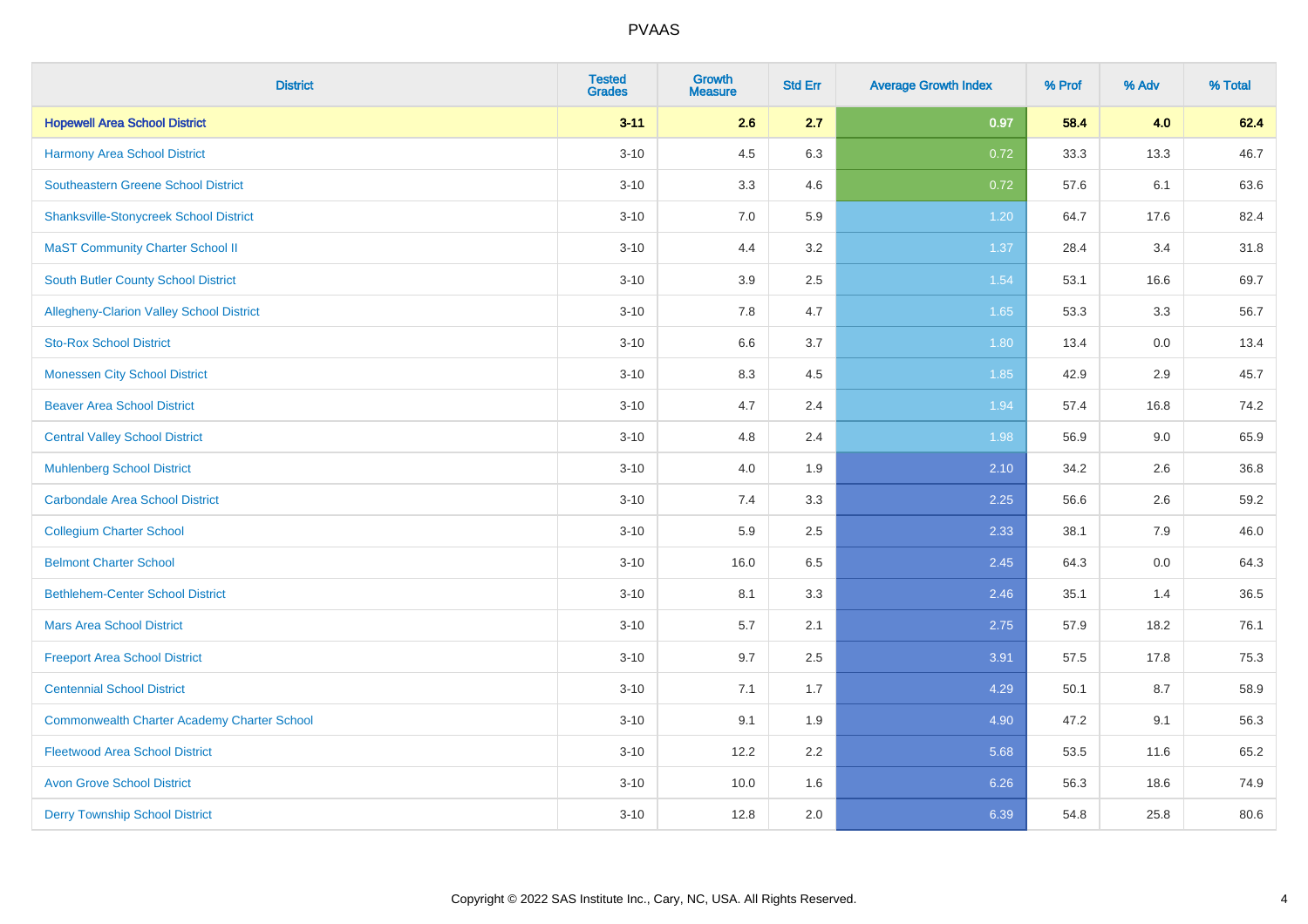| <b>District</b>                                    | <b>Tested</b><br><b>Grades</b> | <b>Growth</b><br><b>Measure</b> | <b>Std Err</b> | <b>Average Growth Index</b> | % Prof | % Adv | % Total |
|----------------------------------------------------|--------------------------------|---------------------------------|----------------|-----------------------------|--------|-------|---------|
| <b>Hopewell Area School District</b>               | $3 - 11$                       | 2.6                             | 2.7            | 0.97                        | 58.4   | 4.0   | 62.4    |
| <b>Harmony Area School District</b>                | $3 - 10$                       | 4.5                             | 6.3            | 0.72                        | 33.3   | 13.3  | 46.7    |
| Southeastern Greene School District                | $3 - 10$                       | 3.3                             | 4.6            | 0.72                        | 57.6   | 6.1   | 63.6    |
| <b>Shanksville-Stonycreek School District</b>      | $3 - 10$                       | 7.0                             | 5.9            | 1.20                        | 64.7   | 17.6  | 82.4    |
| <b>MaST Community Charter School II</b>            | $3 - 10$                       | 4.4                             | 3.2            | 1.37                        | 28.4   | 3.4   | 31.8    |
| <b>South Butler County School District</b>         | $3 - 10$                       | 3.9                             | 2.5            | 1.54                        | 53.1   | 16.6  | 69.7    |
| Allegheny-Clarion Valley School District           | $3 - 10$                       | 7.8                             | 4.7            | 1.65                        | 53.3   | 3.3   | 56.7    |
| <b>Sto-Rox School District</b>                     | $3 - 10$                       | 6.6                             | 3.7            | 1.80                        | 13.4   | 0.0   | 13.4    |
| <b>Monessen City School District</b>               | $3 - 10$                       | 8.3                             | 4.5            | 1.85                        | 42.9   | 2.9   | 45.7    |
| <b>Beaver Area School District</b>                 | $3 - 10$                       | 4.7                             | 2.4            | 1.94                        | 57.4   | 16.8  | 74.2    |
| <b>Central Valley School District</b>              | $3 - 10$                       | 4.8                             | 2.4            | 1.98                        | 56.9   | 9.0   | 65.9    |
| <b>Muhlenberg School District</b>                  | $3 - 10$                       | 4.0                             | 1.9            | 2.10                        | 34.2   | 2.6   | 36.8    |
| <b>Carbondale Area School District</b>             | $3 - 10$                       | 7.4                             | 3.3            | 2.25                        | 56.6   | 2.6   | 59.2    |
| <b>Collegium Charter School</b>                    | $3 - 10$                       | 5.9                             | 2.5            | 2.33                        | 38.1   | 7.9   | 46.0    |
| <b>Belmont Charter School</b>                      | $3 - 10$                       | 16.0                            | 6.5            | 2.45                        | 64.3   | 0.0   | 64.3    |
| <b>Bethlehem-Center School District</b>            | $3 - 10$                       | 8.1                             | 3.3            | 2.46                        | 35.1   | 1.4   | 36.5    |
| <b>Mars Area School District</b>                   | $3 - 10$                       | 5.7                             | 2.1            | 2.75                        | 57.9   | 18.2  | 76.1    |
| <b>Freeport Area School District</b>               | $3 - 10$                       | 9.7                             | 2.5            | 3.91                        | 57.5   | 17.8  | 75.3    |
| <b>Centennial School District</b>                  | $3 - 10$                       | 7.1                             | 1.7            | 4.29                        | 50.1   | 8.7   | 58.9    |
| <b>Commonwealth Charter Academy Charter School</b> | $3 - 10$                       | 9.1                             | 1.9            | 4.90                        | 47.2   | 9.1   | 56.3    |
| <b>Fleetwood Area School District</b>              | $3 - 10$                       | 12.2                            | 2.2            | 5.68                        | 53.5   | 11.6  | 65.2    |
| <b>Avon Grove School District</b>                  | $3 - 10$                       | 10.0                            | 1.6            | 6.26                        | 56.3   | 18.6  | 74.9    |
| <b>Derry Township School District</b>              | $3 - 10$                       | 12.8                            | 2.0            | 6.39                        | 54.8   | 25.8  | 80.6    |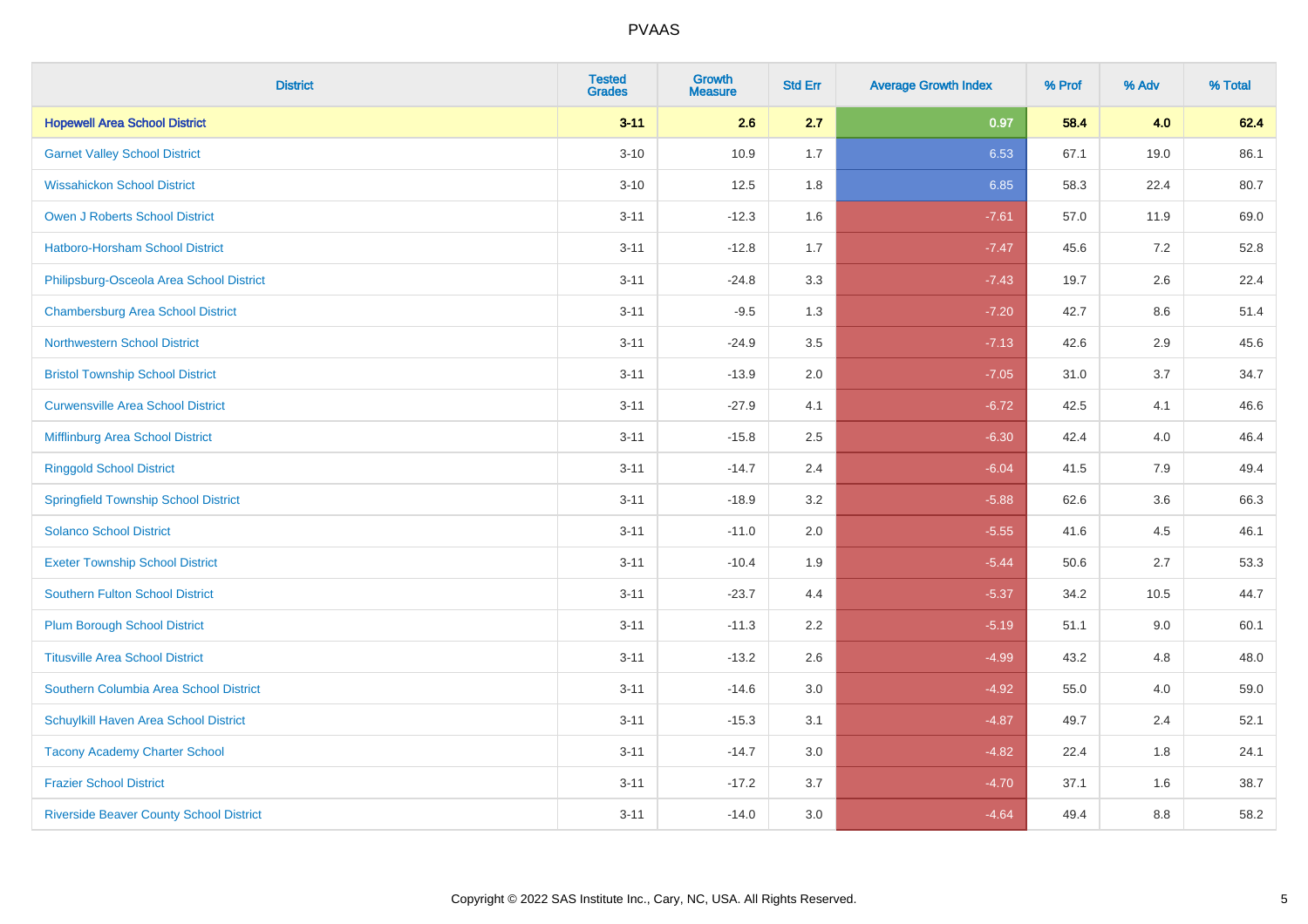| <b>District</b>                                | <b>Tested</b><br><b>Grades</b> | <b>Growth</b><br><b>Measure</b> | <b>Std Err</b> | <b>Average Growth Index</b> | % Prof | % Adv | % Total |
|------------------------------------------------|--------------------------------|---------------------------------|----------------|-----------------------------|--------|-------|---------|
| <b>Hopewell Area School District</b>           | $3 - 11$                       | 2.6                             | 2.7            | 0.97                        | 58.4   | 4.0   | 62.4    |
| <b>Garnet Valley School District</b>           | $3 - 10$                       | 10.9                            | 1.7            | 6.53                        | 67.1   | 19.0  | 86.1    |
| <b>Wissahickon School District</b>             | $3 - 10$                       | 12.5                            | 1.8            | 6.85                        | 58.3   | 22.4  | 80.7    |
| <b>Owen J Roberts School District</b>          | $3 - 11$                       | $-12.3$                         | 1.6            | $-7.61$                     | 57.0   | 11.9  | 69.0    |
| Hatboro-Horsham School District                | $3 - 11$                       | $-12.8$                         | 1.7            | $-7.47$                     | 45.6   | 7.2   | 52.8    |
| Philipsburg-Osceola Area School District       | $3 - 11$                       | $-24.8$                         | 3.3            | $-7.43$                     | 19.7   | 2.6   | 22.4    |
| <b>Chambersburg Area School District</b>       | $3 - 11$                       | $-9.5$                          | 1.3            | $-7.20$                     | 42.7   | 8.6   | 51.4    |
| <b>Northwestern School District</b>            | $3 - 11$                       | $-24.9$                         | 3.5            | $-7.13$                     | 42.6   | 2.9   | 45.6    |
| <b>Bristol Township School District</b>        | $3 - 11$                       | $-13.9$                         | 2.0            | $-7.05$                     | 31.0   | 3.7   | 34.7    |
| <b>Curwensville Area School District</b>       | $3 - 11$                       | $-27.9$                         | 4.1            | $-6.72$                     | 42.5   | 4.1   | 46.6    |
| Mifflinburg Area School District               | $3 - 11$                       | $-15.8$                         | 2.5            | $-6.30$                     | 42.4   | 4.0   | 46.4    |
| <b>Ringgold School District</b>                | $3 - 11$                       | $-14.7$                         | 2.4            | $-6.04$                     | 41.5   | 7.9   | 49.4    |
| <b>Springfield Township School District</b>    | $3 - 11$                       | $-18.9$                         | 3.2            | $-5.88$                     | 62.6   | 3.6   | 66.3    |
| <b>Solanco School District</b>                 | $3 - 11$                       | $-11.0$                         | 2.0            | $-5.55$                     | 41.6   | 4.5   | 46.1    |
| <b>Exeter Township School District</b>         | $3 - 11$                       | $-10.4$                         | 1.9            | $-5.44$                     | 50.6   | 2.7   | 53.3    |
| <b>Southern Fulton School District</b>         | $3 - 11$                       | $-23.7$                         | 4.4            | $-5.37$                     | 34.2   | 10.5  | 44.7    |
| <b>Plum Borough School District</b>            | $3 - 11$                       | $-11.3$                         | 2.2            | $-5.19$                     | 51.1   | 9.0   | 60.1    |
| <b>Titusville Area School District</b>         | $3 - 11$                       | $-13.2$                         | 2.6            | $-4.99$                     | 43.2   | 4.8   | 48.0    |
| Southern Columbia Area School District         | $3 - 11$                       | $-14.6$                         | 3.0            | $-4.92$                     | 55.0   | 4.0   | 59.0    |
| Schuylkill Haven Area School District          | $3 - 11$                       | $-15.3$                         | 3.1            | $-4.87$                     | 49.7   | 2.4   | 52.1    |
| <b>Tacony Academy Charter School</b>           | $3 - 11$                       | $-14.7$                         | 3.0            | $-4.82$                     | 22.4   | 1.8   | 24.1    |
| <b>Frazier School District</b>                 | $3 - 11$                       | $-17.2$                         | 3.7            | $-4.70$                     | 37.1   | 1.6   | 38.7    |
| <b>Riverside Beaver County School District</b> | $3 - 11$                       | $-14.0$                         | 3.0            | $-4.64$                     | 49.4   | 8.8   | 58.2    |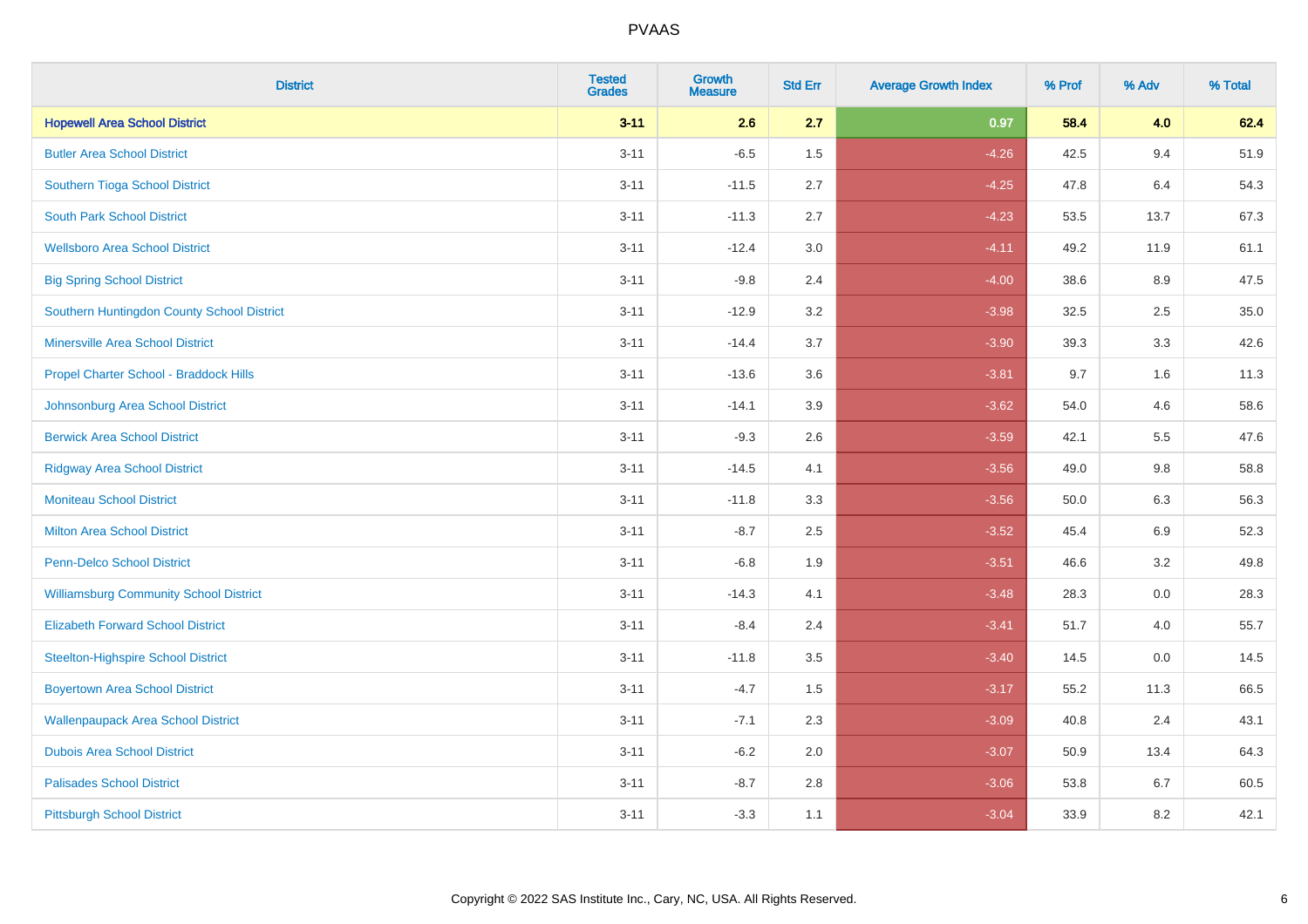| <b>District</b>                               | <b>Tested</b><br><b>Grades</b> | <b>Growth</b><br><b>Measure</b> | <b>Std Err</b> | <b>Average Growth Index</b> | % Prof | % Adv   | % Total |
|-----------------------------------------------|--------------------------------|---------------------------------|----------------|-----------------------------|--------|---------|---------|
| <b>Hopewell Area School District</b>          | $3 - 11$                       | 2.6                             | 2.7            | 0.97                        | 58.4   | 4.0     | 62.4    |
| <b>Butler Area School District</b>            | $3 - 11$                       | $-6.5$                          | 1.5            | $-4.26$                     | 42.5   | 9.4     | 51.9    |
| Southern Tioga School District                | $3 - 11$                       | $-11.5$                         | 2.7            | $-4.25$                     | 47.8   | 6.4     | 54.3    |
| <b>South Park School District</b>             | $3 - 11$                       | $-11.3$                         | 2.7            | $-4.23$                     | 53.5   | 13.7    | 67.3    |
| <b>Wellsboro Area School District</b>         | $3 - 11$                       | $-12.4$                         | 3.0            | $-4.11$                     | 49.2   | 11.9    | 61.1    |
| <b>Big Spring School District</b>             | $3 - 11$                       | $-9.8$                          | 2.4            | $-4.00$                     | 38.6   | 8.9     | 47.5    |
| Southern Huntingdon County School District    | $3 - 11$                       | $-12.9$                         | 3.2            | $-3.98$                     | 32.5   | 2.5     | 35.0    |
| <b>Minersville Area School District</b>       | $3 - 11$                       | $-14.4$                         | 3.7            | $-3.90$                     | 39.3   | 3.3     | 42.6    |
| Propel Charter School - Braddock Hills        | $3 - 11$                       | $-13.6$                         | 3.6            | $-3.81$                     | 9.7    | 1.6     | 11.3    |
| Johnsonburg Area School District              | $3 - 11$                       | $-14.1$                         | 3.9            | $-3.62$                     | 54.0   | 4.6     | 58.6    |
| <b>Berwick Area School District</b>           | $3 - 11$                       | $-9.3$                          | 2.6            | $-3.59$                     | 42.1   | 5.5     | 47.6    |
| <b>Ridgway Area School District</b>           | $3 - 11$                       | $-14.5$                         | 4.1            | $-3.56$                     | 49.0   | $9.8\,$ | 58.8    |
| <b>Moniteau School District</b>               | $3 - 11$                       | $-11.8$                         | 3.3            | $-3.56$                     | 50.0   | 6.3     | 56.3    |
| <b>Milton Area School District</b>            | $3 - 11$                       | $-8.7$                          | 2.5            | $-3.52$                     | 45.4   | 6.9     | 52.3    |
| <b>Penn-Delco School District</b>             | $3 - 11$                       | $-6.8$                          | 1.9            | $-3.51$                     | 46.6   | 3.2     | 49.8    |
| <b>Williamsburg Community School District</b> | $3 - 11$                       | $-14.3$                         | 4.1            | $-3.48$                     | 28.3   | $0.0\,$ | 28.3    |
| <b>Elizabeth Forward School District</b>      | $3 - 11$                       | $-8.4$                          | 2.4            | $-3.41$                     | 51.7   | 4.0     | 55.7    |
| <b>Steelton-Highspire School District</b>     | $3 - 11$                       | $-11.8$                         | 3.5            | $-3.40$                     | 14.5   | 0.0     | 14.5    |
| <b>Boyertown Area School District</b>         | $3 - 11$                       | $-4.7$                          | 1.5            | $-3.17$                     | 55.2   | 11.3    | 66.5    |
| <b>Wallenpaupack Area School District</b>     | $3 - 11$                       | $-7.1$                          | 2.3            | $-3.09$                     | 40.8   | 2.4     | 43.1    |
| <b>Dubois Area School District</b>            | $3 - 11$                       | $-6.2$                          | 2.0            | $-3.07$                     | 50.9   | 13.4    | 64.3    |
| <b>Palisades School District</b>              | $3 - 11$                       | $-8.7$                          | 2.8            | $-3.06$                     | 53.8   | $6.7\,$ | 60.5    |
| <b>Pittsburgh School District</b>             | $3 - 11$                       | $-3.3$                          | 1.1            | $-3.04$                     | 33.9   | 8.2     | 42.1    |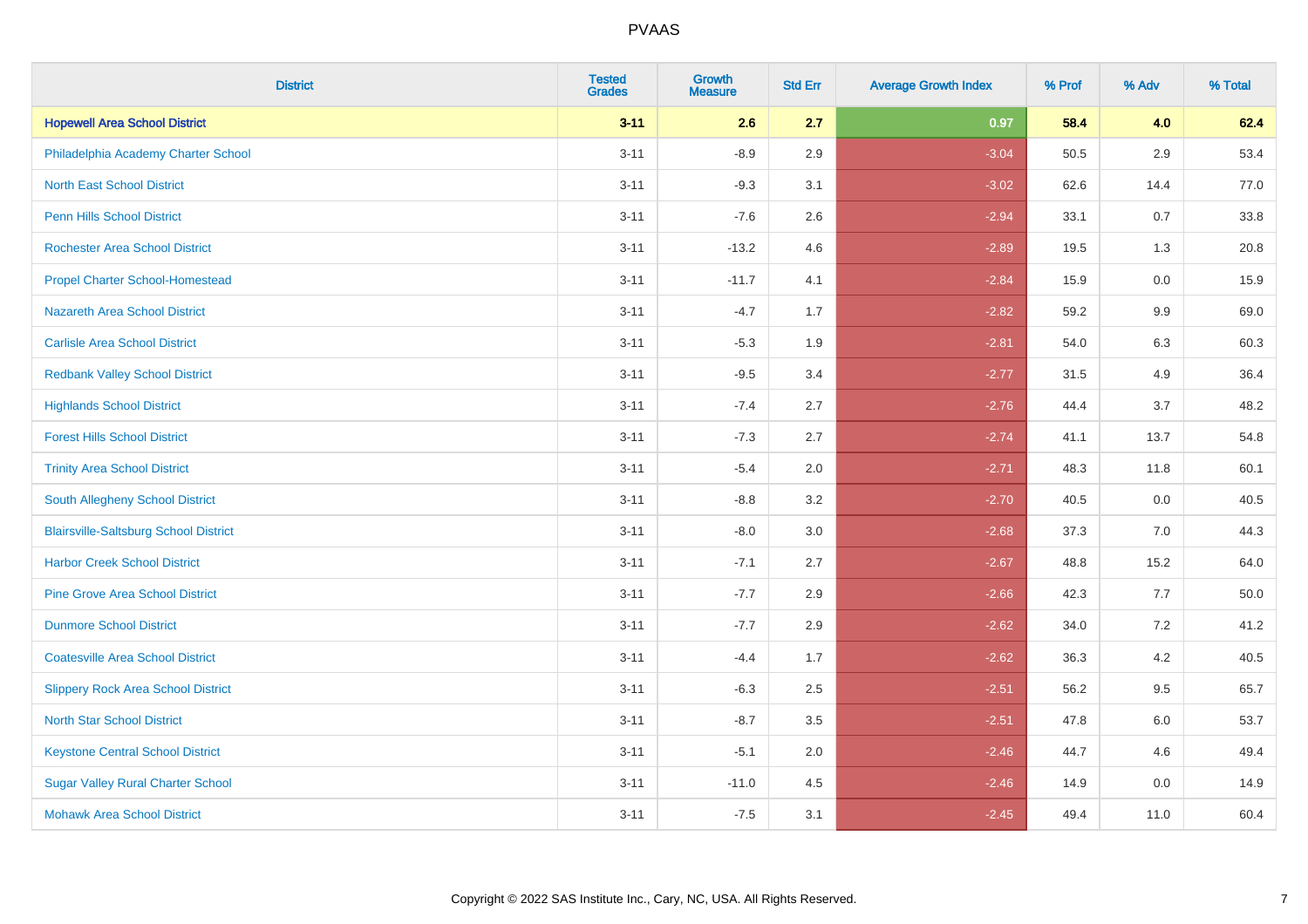| <b>District</b>                              | <b>Tested</b><br><b>Grades</b> | <b>Growth</b><br><b>Measure</b> | <b>Std Err</b> | <b>Average Growth Index</b> | % Prof | % Adv   | % Total |
|----------------------------------------------|--------------------------------|---------------------------------|----------------|-----------------------------|--------|---------|---------|
| <b>Hopewell Area School District</b>         | $3 - 11$                       | 2.6                             | 2.7            | 0.97                        | 58.4   | 4.0     | 62.4    |
| Philadelphia Academy Charter School          | $3 - 11$                       | $-8.9$                          | 2.9            | $-3.04$                     | 50.5   | 2.9     | 53.4    |
| <b>North East School District</b>            | $3 - 11$                       | $-9.3$                          | 3.1            | $-3.02$                     | 62.6   | 14.4    | 77.0    |
| <b>Penn Hills School District</b>            | $3 - 11$                       | $-7.6$                          | 2.6            | $-2.94$                     | 33.1   | 0.7     | 33.8    |
| <b>Rochester Area School District</b>        | $3 - 11$                       | $-13.2$                         | 4.6            | $-2.89$                     | 19.5   | 1.3     | 20.8    |
| <b>Propel Charter School-Homestead</b>       | $3 - 11$                       | $-11.7$                         | 4.1            | $-2.84$                     | 15.9   | 0.0     | 15.9    |
| <b>Nazareth Area School District</b>         | $3 - 11$                       | $-4.7$                          | 1.7            | $-2.82$                     | 59.2   | 9.9     | 69.0    |
| <b>Carlisle Area School District</b>         | $3 - 11$                       | $-5.3$                          | 1.9            | $-2.81$                     | 54.0   | 6.3     | 60.3    |
| <b>Redbank Valley School District</b>        | $3 - 11$                       | $-9.5$                          | 3.4            | $-2.77$                     | 31.5   | 4.9     | 36.4    |
| <b>Highlands School District</b>             | $3 - 11$                       | $-7.4$                          | 2.7            | $-2.76$                     | 44.4   | 3.7     | 48.2    |
| <b>Forest Hills School District</b>          | $3 - 11$                       | $-7.3$                          | 2.7            | $-2.74$                     | 41.1   | 13.7    | 54.8    |
| <b>Trinity Area School District</b>          | $3 - 11$                       | $-5.4$                          | 2.0            | $-2.71$                     | 48.3   | 11.8    | 60.1    |
| South Allegheny School District              | $3 - 11$                       | $-8.8$                          | 3.2            | $-2.70$                     | 40.5   | $0.0\,$ | 40.5    |
| <b>Blairsville-Saltsburg School District</b> | $3 - 11$                       | $-8.0$                          | 3.0            | $-2.68$                     | 37.3   | 7.0     | 44.3    |
| <b>Harbor Creek School District</b>          | $3 - 11$                       | $-7.1$                          | 2.7            | $-2.67$                     | 48.8   | 15.2    | 64.0    |
| <b>Pine Grove Area School District</b>       | $3 - 11$                       | $-7.7$                          | 2.9            | $-2.66$                     | 42.3   | $7.7$   | 50.0    |
| <b>Dunmore School District</b>               | $3 - 11$                       | $-7.7$                          | 2.9            | $-2.62$                     | 34.0   | 7.2     | 41.2    |
| <b>Coatesville Area School District</b>      | $3 - 11$                       | $-4.4$                          | 1.7            | $-2.62$                     | 36.3   | 4.2     | 40.5    |
| <b>Slippery Rock Area School District</b>    | $3 - 11$                       | $-6.3$                          | 2.5            | $-2.51$                     | 56.2   | 9.5     | 65.7    |
| <b>North Star School District</b>            | $3 - 11$                       | $-8.7$                          | 3.5            | $-2.51$                     | 47.8   | 6.0     | 53.7    |
| <b>Keystone Central School District</b>      | $3 - 11$                       | $-5.1$                          | 2.0            | $-2.46$                     | 44.7   | 4.6     | 49.4    |
| <b>Sugar Valley Rural Charter School</b>     | $3 - 11$                       | $-11.0$                         | 4.5            | $-2.46$                     | 14.9   | $0.0\,$ | 14.9    |
| <b>Mohawk Area School District</b>           | $3 - 11$                       | $-7.5$                          | 3.1            | $-2.45$                     | 49.4   | 11.0    | 60.4    |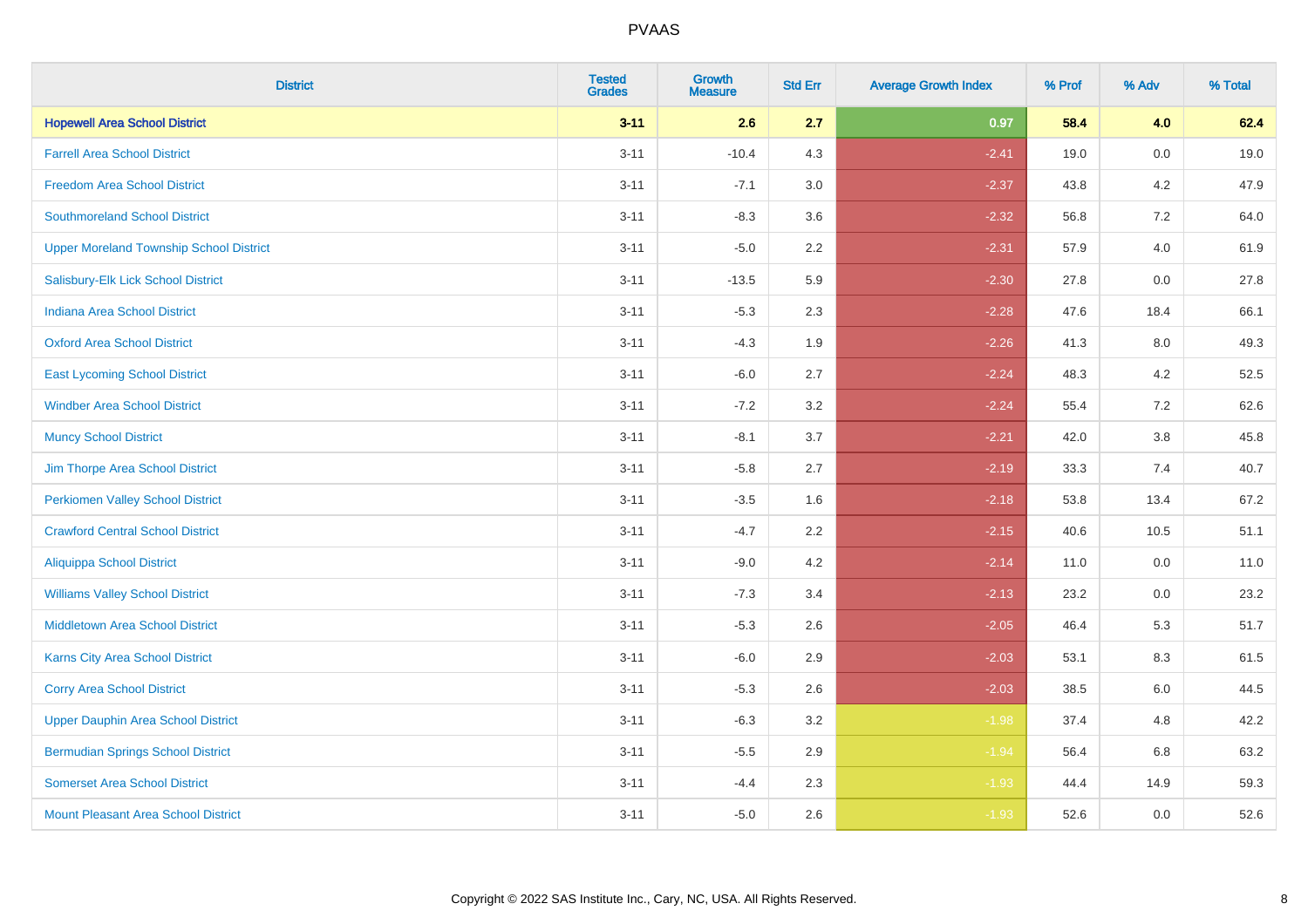| <b>District</b>                                | <b>Tested</b><br><b>Grades</b> | <b>Growth</b><br><b>Measure</b> | <b>Std Err</b> | <b>Average Growth Index</b> | % Prof | % Adv   | % Total |
|------------------------------------------------|--------------------------------|---------------------------------|----------------|-----------------------------|--------|---------|---------|
| <b>Hopewell Area School District</b>           | $3 - 11$                       | 2.6                             | 2.7            | 0.97                        | 58.4   | 4.0     | 62.4    |
| <b>Farrell Area School District</b>            | $3 - 11$                       | $-10.4$                         | 4.3            | $-2.41$                     | 19.0   | $0.0\,$ | 19.0    |
| <b>Freedom Area School District</b>            | $3 - 11$                       | $-7.1$                          | 3.0            | $-2.37$                     | 43.8   | 4.2     | 47.9    |
| <b>Southmoreland School District</b>           | $3 - 11$                       | $-8.3$                          | 3.6            | $-2.32$                     | 56.8   | 7.2     | 64.0    |
| <b>Upper Moreland Township School District</b> | $3 - 11$                       | $-5.0$                          | 2.2            | $-2.31$                     | 57.9   | 4.0     | 61.9    |
| Salisbury-Elk Lick School District             | $3 - 11$                       | $-13.5$                         | 5.9            | $-2.30$                     | 27.8   | 0.0     | 27.8    |
| <b>Indiana Area School District</b>            | $3 - 11$                       | $-5.3$                          | 2.3            | $-2.28$                     | 47.6   | 18.4    | 66.1    |
| <b>Oxford Area School District</b>             | $3 - 11$                       | $-4.3$                          | 1.9            | $-2.26$                     | 41.3   | 8.0     | 49.3    |
| <b>East Lycoming School District</b>           | $3 - 11$                       | $-6.0$                          | 2.7            | $-2.24$                     | 48.3   | 4.2     | 52.5    |
| <b>Windber Area School District</b>            | $3 - 11$                       | $-7.2$                          | 3.2            | $-2.24$                     | 55.4   | 7.2     | 62.6    |
| <b>Muncy School District</b>                   | $3 - 11$                       | $-8.1$                          | 3.7            | $-2.21$                     | 42.0   | 3.8     | 45.8    |
| Jim Thorpe Area School District                | $3 - 11$                       | $-5.8$                          | 2.7            | $-2.19$                     | 33.3   | 7.4     | 40.7    |
| <b>Perkiomen Valley School District</b>        | $3 - 11$                       | $-3.5$                          | 1.6            | $-2.18$                     | 53.8   | 13.4    | 67.2    |
| <b>Crawford Central School District</b>        | $3 - 11$                       | $-4.7$                          | 2.2            | $-2.15$                     | 40.6   | 10.5    | 51.1    |
| <b>Aliquippa School District</b>               | $3 - 11$                       | $-9.0$                          | 4.2            | $-2.14$                     | 11.0   | 0.0     | 11.0    |
| <b>Williams Valley School District</b>         | $3 - 11$                       | $-7.3$                          | 3.4            | $-2.13$                     | 23.2   | $0.0\,$ | 23.2    |
| <b>Middletown Area School District</b>         | $3 - 11$                       | $-5.3$                          | 2.6            | $-2.05$                     | 46.4   | 5.3     | 51.7    |
| <b>Karns City Area School District</b>         | $3 - 11$                       | $-6.0$                          | 2.9            | $-2.03$                     | 53.1   | 8.3     | 61.5    |
| <b>Corry Area School District</b>              | $3 - 11$                       | $-5.3$                          | 2.6            | $-2.03$                     | 38.5   | 6.0     | 44.5    |
| <b>Upper Dauphin Area School District</b>      | $3 - 11$                       | $-6.3$                          | 3.2            | $-1.98$                     | 37.4   | 4.8     | 42.2    |
| <b>Bermudian Springs School District</b>       | $3 - 11$                       | $-5.5$                          | 2.9            | $-1.94$                     | 56.4   | 6.8     | 63.2    |
| <b>Somerset Area School District</b>           | $3 - 11$                       | $-4.4$                          | 2.3            | $-1.93$                     | 44.4   | 14.9    | 59.3    |
| <b>Mount Pleasant Area School District</b>     | $3 - 11$                       | $-5.0$                          | 2.6            | $-1.93$                     | 52.6   | 0.0     | 52.6    |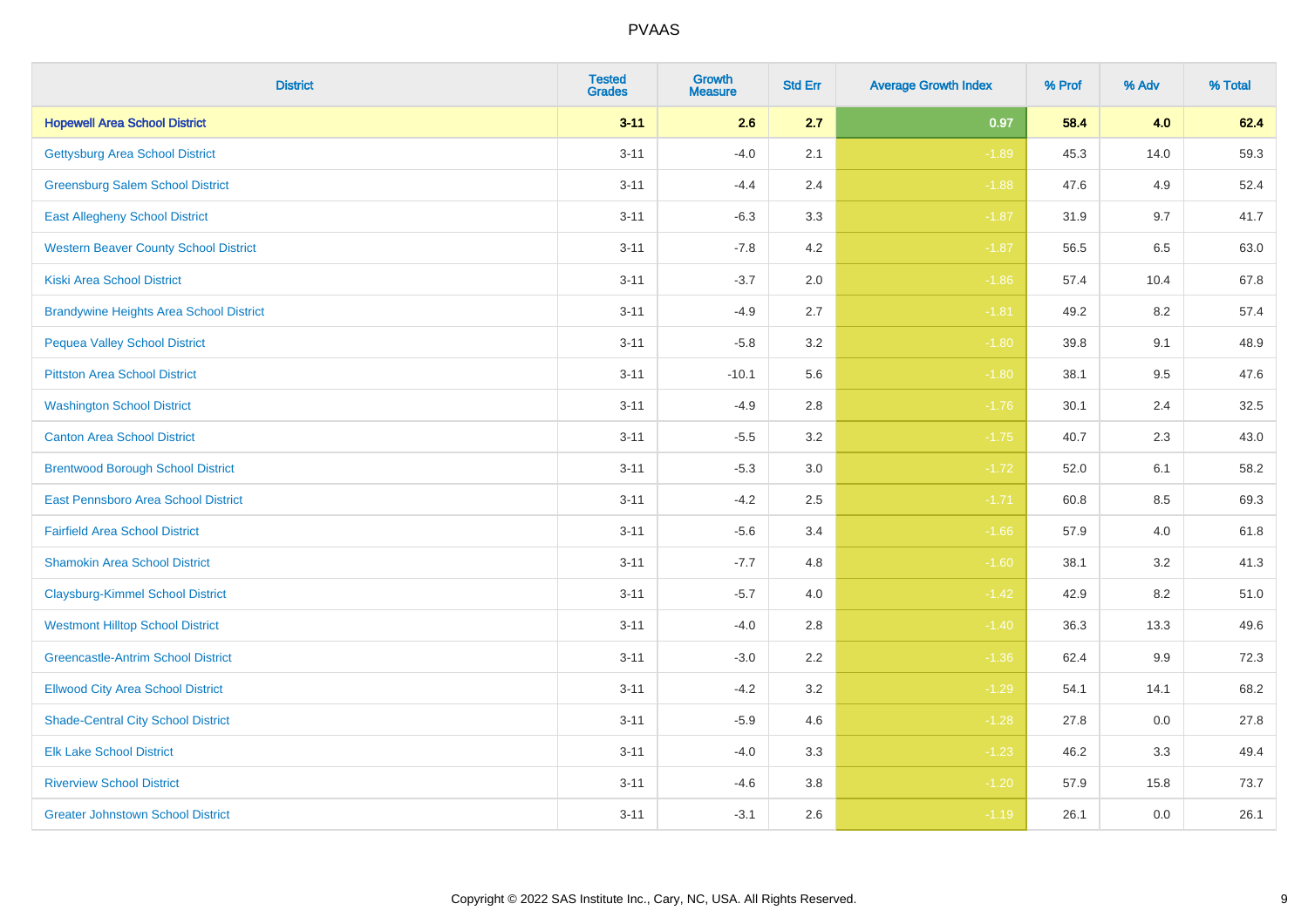| <b>District</b>                                | <b>Tested</b><br><b>Grades</b> | <b>Growth</b><br><b>Measure</b> | <b>Std Err</b> | <b>Average Growth Index</b> | % Prof | % Adv   | % Total |
|------------------------------------------------|--------------------------------|---------------------------------|----------------|-----------------------------|--------|---------|---------|
| <b>Hopewell Area School District</b>           | $3 - 11$                       | 2.6                             | 2.7            | 0.97                        | 58.4   | 4.0     | 62.4    |
| <b>Gettysburg Area School District</b>         | $3 - 11$                       | $-4.0$                          | 2.1            | $-1.89$                     | 45.3   | 14.0    | 59.3    |
| <b>Greensburg Salem School District</b>        | $3 - 11$                       | $-4.4$                          | 2.4            | $-1.88$                     | 47.6   | 4.9     | 52.4    |
| <b>East Allegheny School District</b>          | $3 - 11$                       | $-6.3$                          | 3.3            | $-1.87$                     | 31.9   | 9.7     | 41.7    |
| <b>Western Beaver County School District</b>   | $3 - 11$                       | $-7.8$                          | 4.2            | $-1.87$                     | 56.5   | 6.5     | 63.0    |
| <b>Kiski Area School District</b>              | $3 - 11$                       | $-3.7$                          | 2.0            | $-1.86$                     | 57.4   | 10.4    | 67.8    |
| <b>Brandywine Heights Area School District</b> | $3 - 11$                       | $-4.9$                          | 2.7            | $-1.81$                     | 49.2   | 8.2     | 57.4    |
| <b>Pequea Valley School District</b>           | $3 - 11$                       | $-5.8$                          | 3.2            | $-1.80$                     | 39.8   | 9.1     | 48.9    |
| <b>Pittston Area School District</b>           | $3 - 11$                       | $-10.1$                         | 5.6            | $-1.80$                     | 38.1   | 9.5     | 47.6    |
| <b>Washington School District</b>              | $3 - 11$                       | $-4.9$                          | 2.8            | $-1.76$                     | 30.1   | 2.4     | 32.5    |
| <b>Canton Area School District</b>             | $3 - 11$                       | $-5.5$                          | 3.2            | $-1.75$                     | 40.7   | 2.3     | 43.0    |
| <b>Brentwood Borough School District</b>       | $3 - 11$                       | $-5.3$                          | 3.0            | $-1.72$                     | 52.0   | 6.1     | 58.2    |
| East Pennsboro Area School District            | $3 - 11$                       | $-4.2$                          | 2.5            | $-1.71$                     | 60.8   | $8.5\,$ | 69.3    |
| <b>Fairfield Area School District</b>          | $3 - 11$                       | $-5.6$                          | 3.4            | $-1.66$                     | 57.9   | 4.0     | 61.8    |
| <b>Shamokin Area School District</b>           | $3 - 11$                       | $-7.7$                          | 4.8            | $-1.60$                     | 38.1   | 3.2     | 41.3    |
| <b>Claysburg-Kimmel School District</b>        | $3 - 11$                       | $-5.7$                          | 4.0            | $-1.42$                     | 42.9   | 8.2     | 51.0    |
| <b>Westmont Hilltop School District</b>        | $3 - 11$                       | $-4.0$                          | 2.8            | $-1.40$                     | 36.3   | 13.3    | 49.6    |
| <b>Greencastle-Antrim School District</b>      | $3 - 11$                       | $-3.0$                          | 2.2            | $-1.36$                     | 62.4   | 9.9     | 72.3    |
| <b>Ellwood City Area School District</b>       | $3 - 11$                       | $-4.2$                          | 3.2            | $-1.29$                     | 54.1   | 14.1    | 68.2    |
| <b>Shade-Central City School District</b>      | $3 - 11$                       | $-5.9$                          | 4.6            | $-1.28$                     | 27.8   | 0.0     | 27.8    |
| <b>Elk Lake School District</b>                | $3 - 11$                       | $-4.0$                          | 3.3            | $-1.23$                     | 46.2   | 3.3     | 49.4    |
| <b>Riverview School District</b>               | $3 - 11$                       | $-4.6$                          | 3.8            | $-1.20$                     | 57.9   | 15.8    | 73.7    |
| <b>Greater Johnstown School District</b>       | $3 - 11$                       | $-3.1$                          | 2.6            | $-1.19$                     | 26.1   | 0.0     | 26.1    |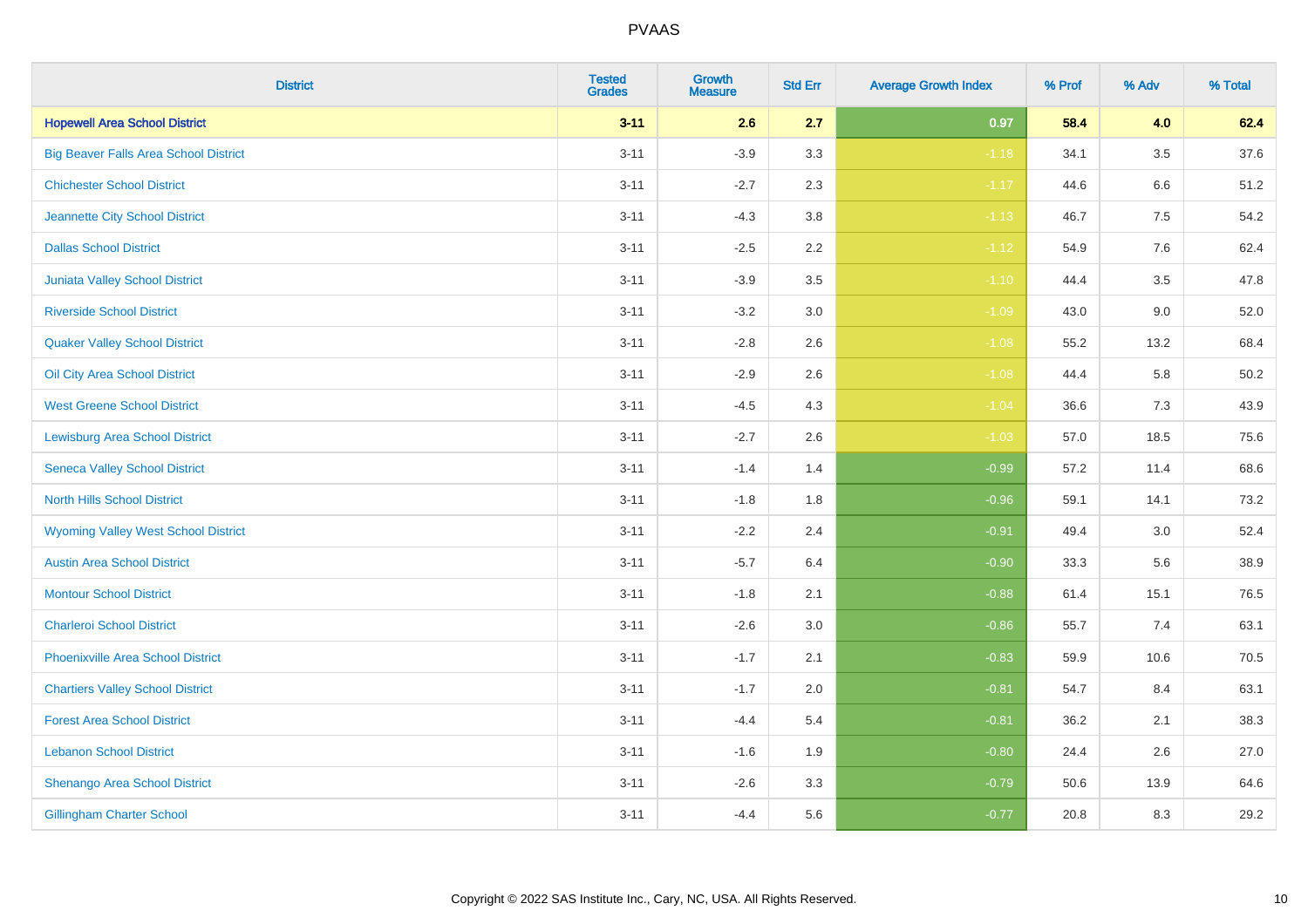| <b>District</b>                              | <b>Tested</b><br><b>Grades</b> | Growth<br><b>Measure</b> | <b>Std Err</b> | <b>Average Growth Index</b> | % Prof | % Adv   | % Total  |
|----------------------------------------------|--------------------------------|--------------------------|----------------|-----------------------------|--------|---------|----------|
| <b>Hopewell Area School District</b>         | $3 - 11$                       | 2.6                      | 2.7            | 0.97                        | 58.4   | 4.0     | 62.4     |
| <b>Big Beaver Falls Area School District</b> | $3 - 11$                       | $-3.9$                   | 3.3            | $-1.18$                     | 34.1   | $3.5\,$ | 37.6     |
| <b>Chichester School District</b>            | $3 - 11$                       | $-2.7$                   | 2.3            | $-1.17$                     | 44.6   | 6.6     | 51.2     |
| Jeannette City School District               | $3 - 11$                       | $-4.3$                   | $3.8\,$        | $-1.13$                     | 46.7   | 7.5     | 54.2     |
| <b>Dallas School District</b>                | $3 - 11$                       | $-2.5$                   | 2.2            | $-1.12$                     | 54.9   | 7.6     | 62.4     |
| <b>Juniata Valley School District</b>        | $3 - 11$                       | $-3.9$                   | 3.5            | $-1.10$                     | 44.4   | 3.5     | 47.8     |
| <b>Riverside School District</b>             | $3 - 11$                       | $-3.2$                   | 3.0            | $-1.09$                     | 43.0   | 9.0     | 52.0     |
| <b>Quaker Valley School District</b>         | $3 - 11$                       | $-2.8$                   | 2.6            | $-1.08$                     | 55.2   | 13.2    | 68.4     |
| Oil City Area School District                | $3 - 11$                       | $-2.9$                   | 2.6            | $-1.08$                     | 44.4   | 5.8     | $50.2\,$ |
| <b>West Greene School District</b>           | $3 - 11$                       | $-4.5$                   | 4.3            | $-1.04$                     | 36.6   | 7.3     | 43.9     |
| <b>Lewisburg Area School District</b>        | $3 - 11$                       | $-2.7$                   | 2.6            | $-1.03$                     | 57.0   | 18.5    | 75.6     |
| <b>Seneca Valley School District</b>         | $3 - 11$                       | $-1.4$                   | 1.4            | $-0.99$                     | 57.2   | 11.4    | 68.6     |
| <b>North Hills School District</b>           | $3 - 11$                       | $-1.8$                   | 1.8            | $-0.96$                     | 59.1   | 14.1    | 73.2     |
| <b>Wyoming Valley West School District</b>   | $3 - 11$                       | $-2.2$                   | 2.4            | $-0.91$                     | 49.4   | 3.0     | 52.4     |
| <b>Austin Area School District</b>           | $3 - 11$                       | $-5.7$                   | 6.4            | $-0.90$                     | 33.3   | 5.6     | 38.9     |
| <b>Montour School District</b>               | $3 - 11$                       | $-1.8$                   | 2.1            | $-0.88$                     | 61.4   | 15.1    | 76.5     |
| <b>Charleroi School District</b>             | $3 - 11$                       | $-2.6$                   | 3.0            | $-0.86$                     | 55.7   | 7.4     | 63.1     |
| <b>Phoenixville Area School District</b>     | $3 - 11$                       | $-1.7$                   | 2.1            | $-0.83$                     | 59.9   | 10.6    | 70.5     |
| <b>Chartiers Valley School District</b>      | $3 - 11$                       | $-1.7$                   | 2.0            | $-0.81$                     | 54.7   | 8.4     | 63.1     |
| <b>Forest Area School District</b>           | $3 - 11$                       | $-4.4$                   | 5.4            | $-0.81$                     | 36.2   | 2.1     | 38.3     |
| <b>Lebanon School District</b>               | $3 - 11$                       | $-1.6$                   | 1.9            | $-0.80$                     | 24.4   | 2.6     | 27.0     |
| Shenango Area School District                | $3 - 11$                       | $-2.6$                   | 3.3            | $-0.79$                     | 50.6   | 13.9    | 64.6     |
| <b>Gillingham Charter School</b>             | $3 - 11$                       | $-4.4$                   | 5.6            | $-0.77$                     | 20.8   | 8.3     | 29.2     |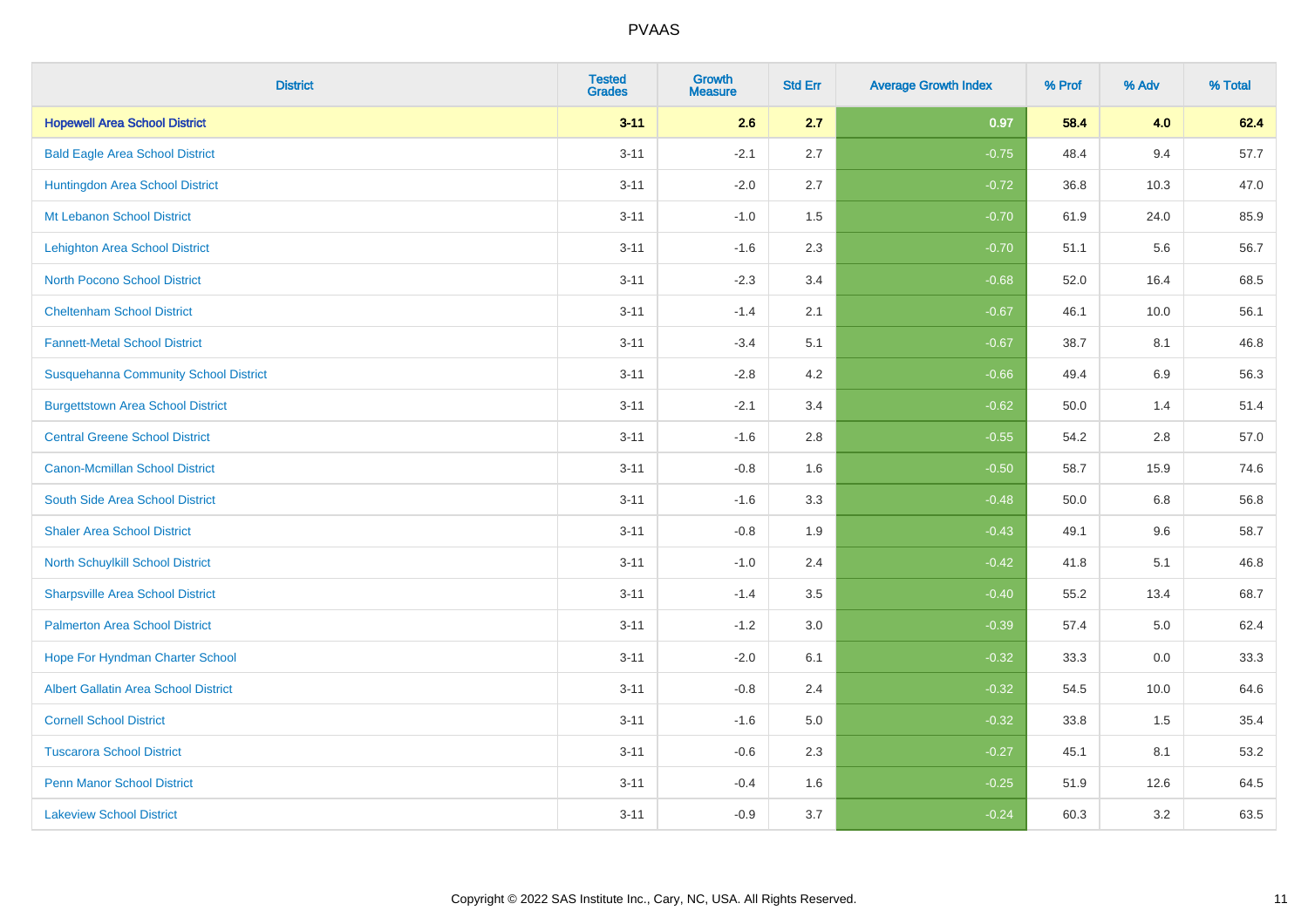| <b>District</b>                              | <b>Tested</b><br><b>Grades</b> | <b>Growth</b><br><b>Measure</b> | <b>Std Err</b> | <b>Average Growth Index</b> | % Prof | % Adv   | % Total |
|----------------------------------------------|--------------------------------|---------------------------------|----------------|-----------------------------|--------|---------|---------|
| <b>Hopewell Area School District</b>         | $3 - 11$                       | 2.6                             | 2.7            | 0.97                        | 58.4   | 4.0     | 62.4    |
| <b>Bald Eagle Area School District</b>       | $3 - 11$                       | $-2.1$                          | 2.7            | $-0.75$                     | 48.4   | 9.4     | 57.7    |
| Huntingdon Area School District              | $3 - 11$                       | $-2.0$                          | 2.7            | $-0.72$                     | 36.8   | 10.3    | 47.0    |
| Mt Lebanon School District                   | $3 - 11$                       | $-1.0$                          | 1.5            | $-0.70$                     | 61.9   | 24.0    | 85.9    |
| <b>Lehighton Area School District</b>        | $3 - 11$                       | $-1.6$                          | 2.3            | $-0.70$                     | 51.1   | 5.6     | 56.7    |
| <b>North Pocono School District</b>          | $3 - 11$                       | $-2.3$                          | 3.4            | $-0.68$                     | 52.0   | 16.4    | 68.5    |
| <b>Cheltenham School District</b>            | $3 - 11$                       | $-1.4$                          | 2.1            | $-0.67$                     | 46.1   | 10.0    | 56.1    |
| <b>Fannett-Metal School District</b>         | $3 - 11$                       | $-3.4$                          | 5.1            | $-0.67$                     | 38.7   | 8.1     | 46.8    |
| <b>Susquehanna Community School District</b> | $3 - 11$                       | $-2.8$                          | 4.2            | $-0.66$                     | 49.4   | 6.9     | 56.3    |
| <b>Burgettstown Area School District</b>     | $3 - 11$                       | $-2.1$                          | 3.4            | $-0.62$                     | 50.0   | 1.4     | 51.4    |
| <b>Central Greene School District</b>        | $3 - 11$                       | $-1.6$                          | 2.8            | $-0.55$                     | 54.2   | 2.8     | 57.0    |
| <b>Canon-Mcmillan School District</b>        | $3 - 11$                       | $-0.8$                          | 1.6            | $-0.50$                     | 58.7   | 15.9    | 74.6    |
| South Side Area School District              | $3 - 11$                       | $-1.6$                          | 3.3            | $-0.48$                     | 50.0   | $6.8\,$ | 56.8    |
| <b>Shaler Area School District</b>           | $3 - 11$                       | $-0.8$                          | 1.9            | $-0.43$                     | 49.1   | 9.6     | 58.7    |
| North Schuylkill School District             | $3 - 11$                       | $-1.0$                          | 2.4            | $-0.42$                     | 41.8   | 5.1     | 46.8    |
| <b>Sharpsville Area School District</b>      | $3 - 11$                       | $-1.4$                          | 3.5            | $-0.40$                     | 55.2   | 13.4    | 68.7    |
| <b>Palmerton Area School District</b>        | $3 - 11$                       | $-1.2$                          | 3.0            | $-0.39$                     | 57.4   | 5.0     | 62.4    |
| Hope For Hyndman Charter School              | $3 - 11$                       | $-2.0$                          | 6.1            | $-0.32$                     | 33.3   | 0.0     | 33.3    |
| <b>Albert Gallatin Area School District</b>  | $3 - 11$                       | $-0.8$                          | 2.4            | $-0.32$                     | 54.5   | 10.0    | 64.6    |
| <b>Cornell School District</b>               | $3 - 11$                       | $-1.6$                          | 5.0            | $-0.32$                     | 33.8   | 1.5     | 35.4    |
| <b>Tuscarora School District</b>             | $3 - 11$                       | $-0.6$                          | 2.3            | $-0.27$                     | 45.1   | 8.1     | 53.2    |
| <b>Penn Manor School District</b>            | $3 - 11$                       | $-0.4$                          | 1.6            | $-0.25$                     | 51.9   | 12.6    | 64.5    |
| <b>Lakeview School District</b>              | $3 - 11$                       | $-0.9$                          | 3.7            | $-0.24$                     | 60.3   | 3.2     | 63.5    |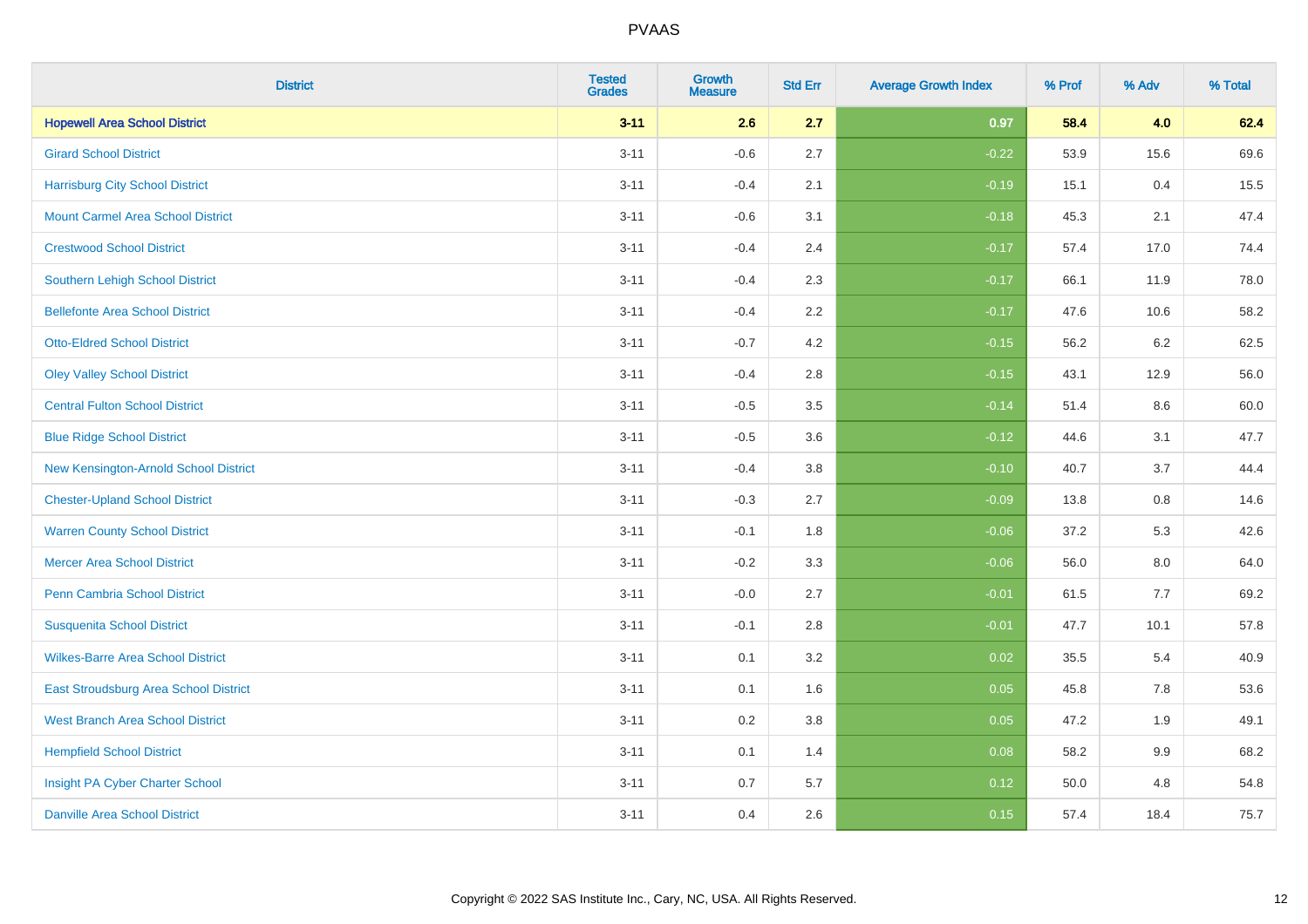| <b>District</b>                          | <b>Tested</b><br><b>Grades</b> | <b>Growth</b><br><b>Measure</b> | <b>Std Err</b> | <b>Average Growth Index</b> | % Prof | % Adv   | % Total |
|------------------------------------------|--------------------------------|---------------------------------|----------------|-----------------------------|--------|---------|---------|
| <b>Hopewell Area School District</b>     | $3 - 11$                       | 2.6                             | 2.7            | 0.97                        | 58.4   | 4.0     | 62.4    |
| <b>Girard School District</b>            | $3 - 11$                       | $-0.6$                          | 2.7            | $-0.22$                     | 53.9   | 15.6    | 69.6    |
| <b>Harrisburg City School District</b>   | $3 - 11$                       | $-0.4$                          | 2.1            | $-0.19$                     | 15.1   | 0.4     | 15.5    |
| <b>Mount Carmel Area School District</b> | $3 - 11$                       | $-0.6$                          | 3.1            | $-0.18$                     | 45.3   | 2.1     | 47.4    |
| <b>Crestwood School District</b>         | $3 - 11$                       | $-0.4$                          | 2.4            | $-0.17$                     | 57.4   | 17.0    | 74.4    |
| <b>Southern Lehigh School District</b>   | $3 - 11$                       | $-0.4$                          | 2.3            | $-0.17$                     | 66.1   | 11.9    | 78.0    |
| <b>Bellefonte Area School District</b>   | $3 - 11$                       | $-0.4$                          | 2.2            | $-0.17$                     | 47.6   | 10.6    | 58.2    |
| <b>Otto-Eldred School District</b>       | $3 - 11$                       | $-0.7$                          | 4.2            | $-0.15$                     | 56.2   | 6.2     | 62.5    |
| <b>Oley Valley School District</b>       | $3 - 11$                       | $-0.4$                          | 2.8            | $-0.15$                     | 43.1   | 12.9    | 56.0    |
| <b>Central Fulton School District</b>    | $3 - 11$                       | $-0.5$                          | 3.5            | $-0.14$                     | 51.4   | 8.6     | 60.0    |
| <b>Blue Ridge School District</b>        | $3 - 11$                       | $-0.5$                          | 3.6            | $-0.12$                     | 44.6   | 3.1     | 47.7    |
| New Kensington-Arnold School District    | $3 - 11$                       | $-0.4$                          | 3.8            | $-0.10$                     | 40.7   | 3.7     | 44.4    |
| <b>Chester-Upland School District</b>    | $3 - 11$                       | $-0.3$                          | 2.7            | $-0.09$                     | 13.8   | $0.8\,$ | 14.6    |
| <b>Warren County School District</b>     | $3 - 11$                       | $-0.1$                          | 1.8            | $-0.06$                     | 37.2   | 5.3     | 42.6    |
| <b>Mercer Area School District</b>       | $3 - 11$                       | $-0.2$                          | 3.3            | $-0.06$                     | 56.0   | $8.0\,$ | 64.0    |
| Penn Cambria School District             | $3 - 11$                       | $-0.0$                          | 2.7            | $-0.01$                     | 61.5   | 7.7     | 69.2    |
| <b>Susquenita School District</b>        | $3 - 11$                       | $-0.1$                          | 2.8            | $-0.01$                     | 47.7   | 10.1    | 57.8    |
| <b>Wilkes-Barre Area School District</b> | $3 - 11$                       | 0.1                             | 3.2            | 0.02                        | 35.5   | 5.4     | 40.9    |
| East Stroudsburg Area School District    | $3 - 11$                       | 0.1                             | 1.6            | 0.05                        | 45.8   | 7.8     | 53.6    |
| <b>West Branch Area School District</b>  | $3 - 11$                       | 0.2                             | 3.8            | 0.05                        | 47.2   | 1.9     | 49.1    |
| <b>Hempfield School District</b>         | $3 - 11$                       | 0.1                             | 1.4            | 0.08                        | 58.2   | 9.9     | 68.2    |
| Insight PA Cyber Charter School          | $3 - 11$                       | 0.7                             | 5.7            | 0.12                        | 50.0   | 4.8     | 54.8    |
| <b>Danville Area School District</b>     | $3 - 11$                       | 0.4                             | 2.6            | 0.15                        | 57.4   | 18.4    | 75.7    |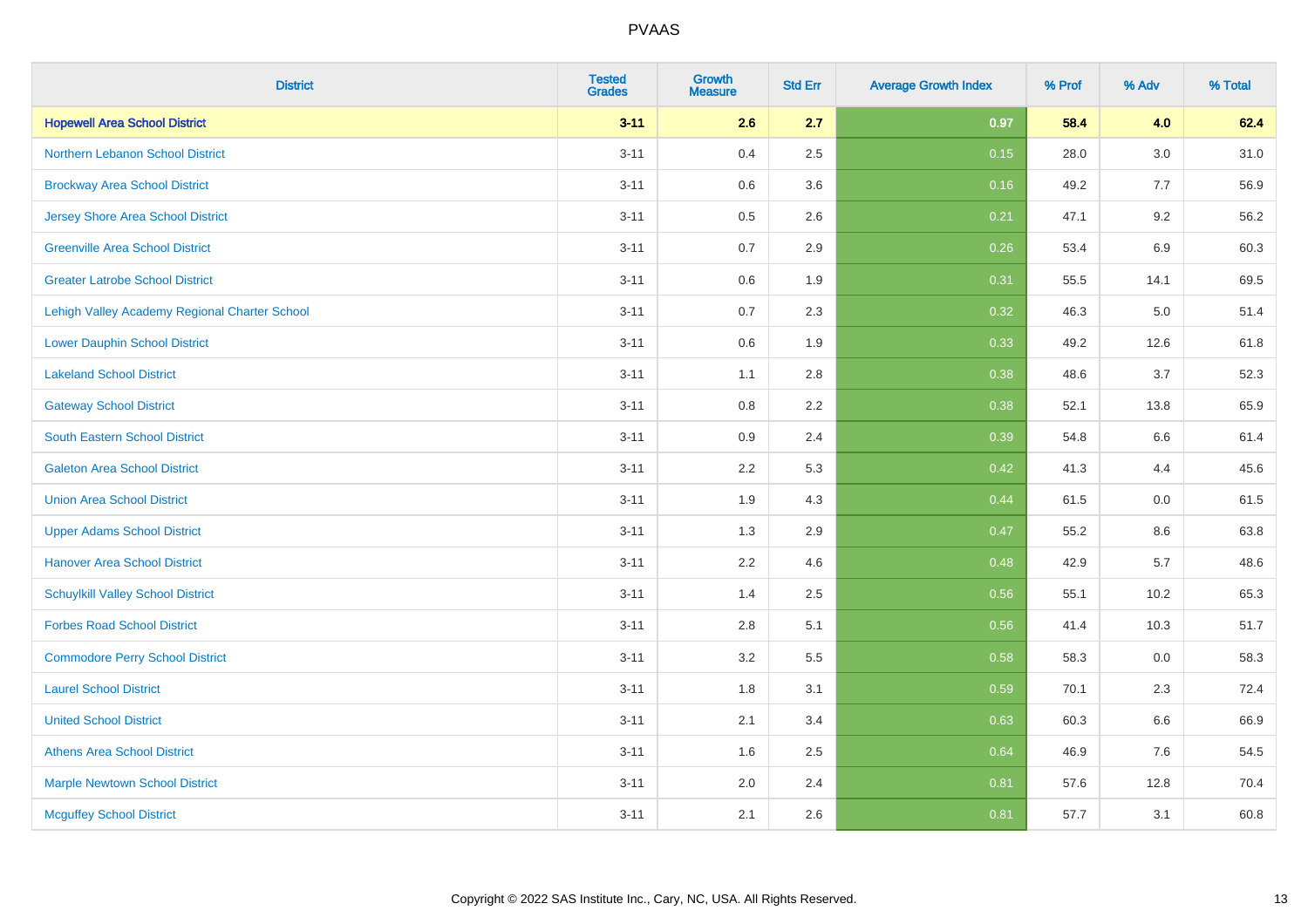| <b>District</b>                               | <b>Tested</b><br><b>Grades</b> | Growth<br>Measure | <b>Std Err</b> | <b>Average Growth Index</b> | % Prof | % Adv | % Total |
|-----------------------------------------------|--------------------------------|-------------------|----------------|-----------------------------|--------|-------|---------|
| <b>Hopewell Area School District</b>          | $3 - 11$                       | 2.6               | 2.7            | 0.97                        | 58.4   | 4.0   | 62.4    |
| Northern Lebanon School District              | $3 - 11$                       | 0.4               | 2.5            | 0.15                        | 28.0   | 3.0   | 31.0    |
| <b>Brockway Area School District</b>          | $3 - 11$                       | 0.6               | 3.6            | 0.16                        | 49.2   | 7.7   | 56.9    |
| Jersey Shore Area School District             | $3 - 11$                       | 0.5               | 2.6            | 0.21                        | 47.1   | 9.2   | 56.2    |
| <b>Greenville Area School District</b>        | $3 - 11$                       | 0.7               | 2.9            | 0.26                        | 53.4   | 6.9   | 60.3    |
| <b>Greater Latrobe School District</b>        | $3 - 11$                       | 0.6               | 1.9            | 0.31                        | 55.5   | 14.1  | 69.5    |
| Lehigh Valley Academy Regional Charter School | $3 - 11$                       | 0.7               | 2.3            | 0.32                        | 46.3   | 5.0   | 51.4    |
| <b>Lower Dauphin School District</b>          | $3 - 11$                       | 0.6               | 1.9            | 0.33                        | 49.2   | 12.6  | 61.8    |
| <b>Lakeland School District</b>               | $3 - 11$                       | 1.1               | 2.8            | 0.38                        | 48.6   | 3.7   | 52.3    |
| <b>Gateway School District</b>                | $3 - 11$                       | 0.8               | 2.2            | 0.38                        | 52.1   | 13.8  | 65.9    |
| <b>South Eastern School District</b>          | $3 - 11$                       | 0.9               | 2.4            | 0.39                        | 54.8   | 6.6   | 61.4    |
| <b>Galeton Area School District</b>           | $3 - 11$                       | 2.2               | 5.3            | 0.42                        | 41.3   | 4.4   | 45.6    |
| <b>Union Area School District</b>             | $3 - 11$                       | 1.9               | 4.3            | 0.44                        | 61.5   | 0.0   | 61.5    |
| <b>Upper Adams School District</b>            | $3 - 11$                       | 1.3               | 2.9            | 0.47                        | 55.2   | 8.6   | 63.8    |
| <b>Hanover Area School District</b>           | $3 - 11$                       | 2.2               | 4.6            | 0.48                        | 42.9   | 5.7   | 48.6    |
| <b>Schuylkill Valley School District</b>      | $3 - 11$                       | 1.4               | 2.5            | 0.56                        | 55.1   | 10.2  | 65.3    |
| <b>Forbes Road School District</b>            | $3 - 11$                       | 2.8               | 5.1            | 0.56                        | 41.4   | 10.3  | 51.7    |
| <b>Commodore Perry School District</b>        | $3 - 11$                       | 3.2               | 5.5            | 0.58                        | 58.3   | 0.0   | 58.3    |
| <b>Laurel School District</b>                 | $3 - 11$                       | 1.8               | 3.1            | 0.59                        | 70.1   | 2.3   | 72.4    |
| <b>United School District</b>                 | $3 - 11$                       | 2.1               | 3.4            | 0.63                        | 60.3   | 6.6   | 66.9    |
| <b>Athens Area School District</b>            | $3 - 11$                       | 1.6               | 2.5            | 0.64                        | 46.9   | 7.6   | 54.5    |
| <b>Marple Newtown School District</b>         | $3 - 11$                       | 2.0               | 2.4            | 0.81                        | 57.6   | 12.8  | 70.4    |
| <b>Mcguffey School District</b>               | $3 - 11$                       | 2.1               | 2.6            | 0.81                        | 57.7   | 3.1   | 60.8    |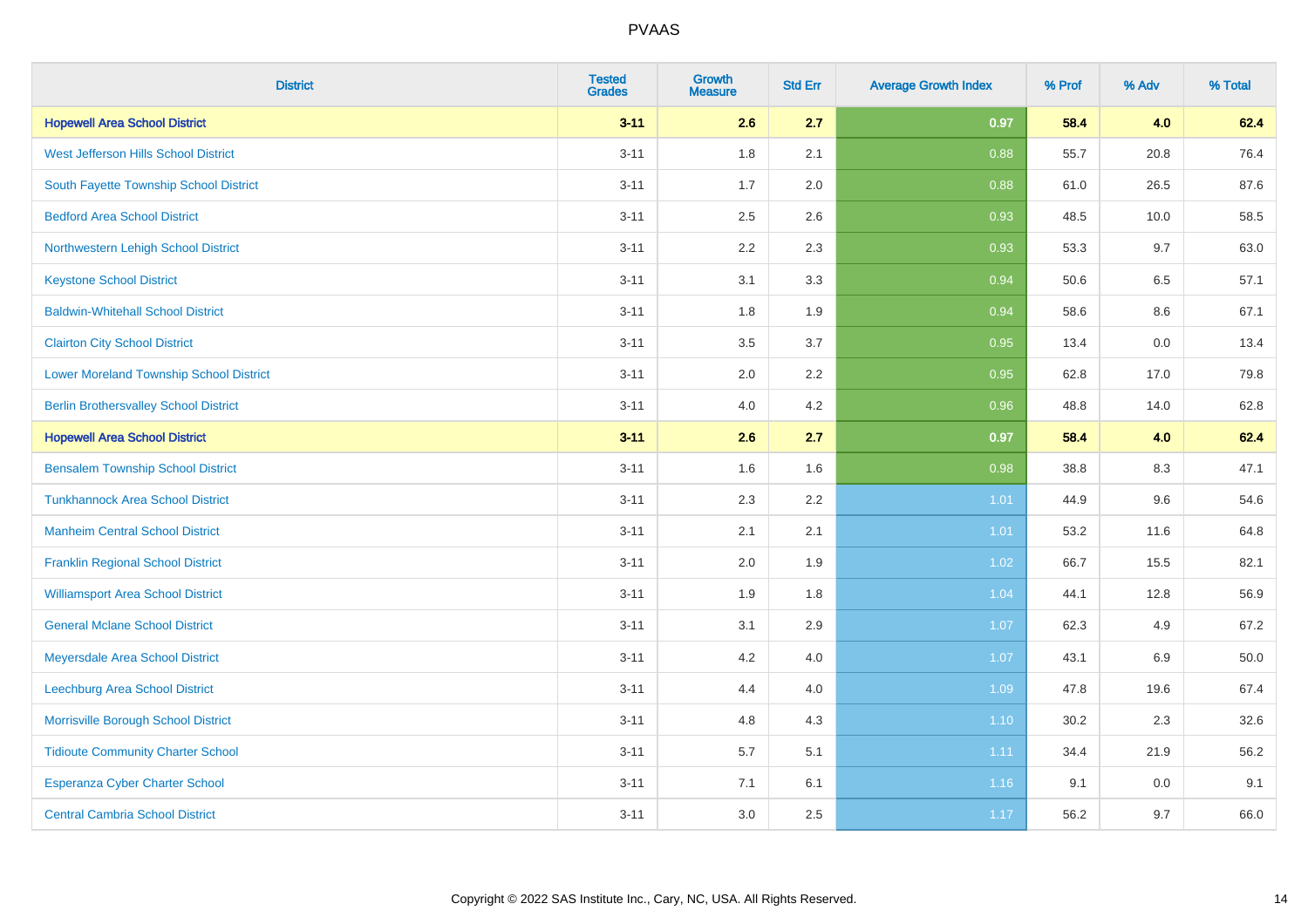| <b>District</b>                                | <b>Tested</b><br><b>Grades</b> | <b>Growth</b><br><b>Measure</b> | <b>Std Err</b> | <b>Average Growth Index</b> | % Prof | % Adv   | % Total |
|------------------------------------------------|--------------------------------|---------------------------------|----------------|-----------------------------|--------|---------|---------|
| <b>Hopewell Area School District</b>           | $3 - 11$                       | 2.6                             | 2.7            | 0.97                        | 58.4   | 4.0     | 62.4    |
| West Jefferson Hills School District           | $3 - 11$                       | 1.8                             | 2.1            | 0.88                        | 55.7   | 20.8    | 76.4    |
| South Fayette Township School District         | $3 - 11$                       | 1.7                             | 2.0            | 0.88                        | 61.0   | 26.5    | 87.6    |
| <b>Bedford Area School District</b>            | $3 - 11$                       | 2.5                             | 2.6            | 0.93                        | 48.5   | 10.0    | 58.5    |
| Northwestern Lehigh School District            | $3 - 11$                       | 2.2                             | 2.3            | 0.93                        | 53.3   | 9.7     | 63.0    |
| <b>Keystone School District</b>                | $3 - 11$                       | 3.1                             | 3.3            | 0.94                        | 50.6   | 6.5     | 57.1    |
| <b>Baldwin-Whitehall School District</b>       | $3 - 11$                       | 1.8                             | 1.9            | 0.94                        | 58.6   | $8.6\,$ | 67.1    |
| <b>Clairton City School District</b>           | $3 - 11$                       | 3.5                             | 3.7            | 0.95                        | 13.4   | 0.0     | 13.4    |
| <b>Lower Moreland Township School District</b> | $3 - 11$                       | 2.0                             | 2.2            | 0.95                        | 62.8   | 17.0    | 79.8    |
| <b>Berlin Brothersvalley School District</b>   | $3 - 11$                       | 4.0                             | 4.2            | 0.96                        | 48.8   | 14.0    | 62.8    |
| <b>Hopewell Area School District</b>           | $3 - 11$                       | 2.6                             | 2.7            | 0.97                        | 58.4   | 4.0     | 62.4    |
| <b>Bensalem Township School District</b>       | $3 - 11$                       | 1.6                             | 1.6            | 0.98                        | 38.8   | 8.3     | 47.1    |
| <b>Tunkhannock Area School District</b>        | $3 - 11$                       | 2.3                             | 2.2            | 1.01                        | 44.9   | 9.6     | 54.6    |
| <b>Manheim Central School District</b>         | $3 - 11$                       | 2.1                             | 2.1            | 1.01                        | 53.2   | 11.6    | 64.8    |
| <b>Franklin Regional School District</b>       | $3 - 11$                       | 2.0                             | 1.9            | 1.02                        | 66.7   | 15.5    | 82.1    |
| <b>Williamsport Area School District</b>       | $3 - 11$                       | 1.9                             | 1.8            | 1.04                        | 44.1   | 12.8    | 56.9    |
| <b>General Mclane School District</b>          | $3 - 11$                       | 3.1                             | 2.9            | 1.07                        | 62.3   | 4.9     | 67.2    |
| Meyersdale Area School District                | $3 - 11$                       | 4.2                             | 4.0            | 1.07                        | 43.1   | $6.9\,$ | 50.0    |
| <b>Leechburg Area School District</b>          | $3 - 11$                       | 4.4                             | 4.0            | 1.09                        | 47.8   | 19.6    | 67.4    |
| Morrisville Borough School District            | $3 - 11$                       | 4.8                             | 4.3            | 1.10                        | 30.2   | 2.3     | 32.6    |
| <b>Tidioute Community Charter School</b>       | $3 - 11$                       | 5.7                             | 5.1            | 1.11                        | 34.4   | 21.9    | 56.2    |
| Esperanza Cyber Charter School                 | $3 - 11$                       | 7.1                             | 6.1            | 1.16                        | 9.1    | 0.0     | 9.1     |
| <b>Central Cambria School District</b>         | $3 - 11$                       | 3.0                             | 2.5            | 1.17                        | 56.2   | 9.7     | 66.0    |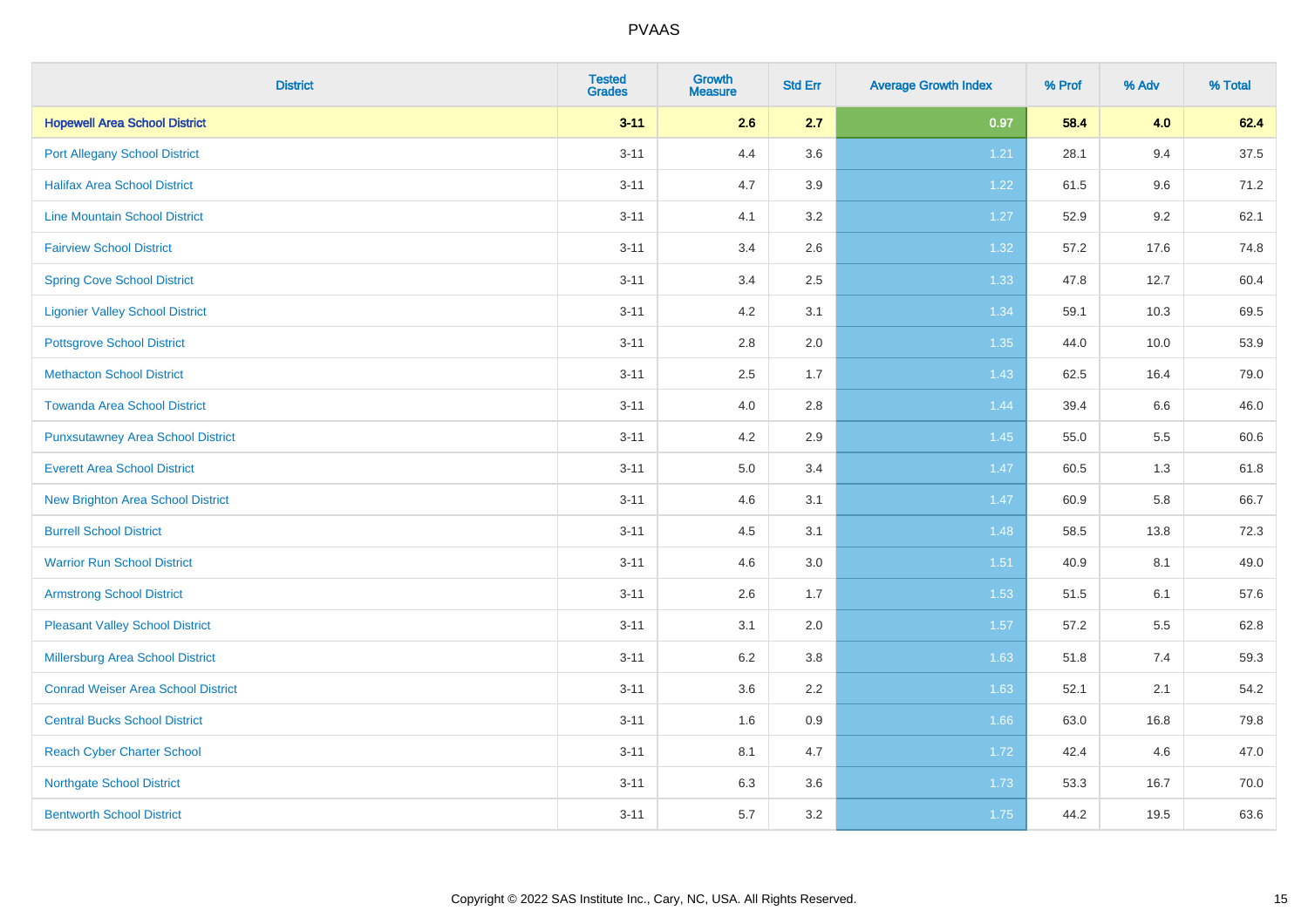| <b>District</b>                           | <b>Tested</b><br><b>Grades</b> | <b>Growth</b><br><b>Measure</b> | <b>Std Err</b> | <b>Average Growth Index</b> | % Prof | % Adv | % Total |
|-------------------------------------------|--------------------------------|---------------------------------|----------------|-----------------------------|--------|-------|---------|
| <b>Hopewell Area School District</b>      | $3 - 11$                       | 2.6                             | 2.7            | 0.97                        | 58.4   | 4.0   | 62.4    |
| <b>Port Allegany School District</b>      | $3 - 11$                       | 4.4                             | 3.6            | 1.21                        | 28.1   | 9.4   | 37.5    |
| <b>Halifax Area School District</b>       | $3 - 11$                       | 4.7                             | 3.9            | 1.22                        | 61.5   | 9.6   | 71.2    |
| <b>Line Mountain School District</b>      | $3 - 11$                       | 4.1                             | 3.2            | 1.27                        | 52.9   | 9.2   | 62.1    |
| <b>Fairview School District</b>           | $3 - 11$                       | 3.4                             | 2.6            | 1.32                        | 57.2   | 17.6  | 74.8    |
| <b>Spring Cove School District</b>        | $3 - 11$                       | 3.4                             | 2.5            | 1.33                        | 47.8   | 12.7  | 60.4    |
| <b>Ligonier Valley School District</b>    | $3 - 11$                       | 4.2                             | 3.1            | 1.34                        | 59.1   | 10.3  | 69.5    |
| <b>Pottsgrove School District</b>         | $3 - 11$                       | 2.8                             | 2.0            | 1.35                        | 44.0   | 10.0  | 53.9    |
| <b>Methacton School District</b>          | $3 - 11$                       | 2.5                             | 1.7            | 1.43                        | 62.5   | 16.4  | 79.0    |
| <b>Towanda Area School District</b>       | $3 - 11$                       | 4.0                             | 2.8            | 1.44                        | 39.4   | 6.6   | 46.0    |
| <b>Punxsutawney Area School District</b>  | $3 - 11$                       | 4.2                             | 2.9            | 1.45                        | 55.0   | 5.5   | 60.6    |
| <b>Everett Area School District</b>       | $3 - 11$                       | 5.0                             | 3.4            | 1.47                        | 60.5   | 1.3   | 61.8    |
| <b>New Brighton Area School District</b>  | $3 - 11$                       | 4.6                             | 3.1            | 1.47                        | 60.9   | 5.8   | 66.7    |
| <b>Burrell School District</b>            | $3 - 11$                       | 4.5                             | 3.1            | 1.48                        | 58.5   | 13.8  | 72.3    |
| <b>Warrior Run School District</b>        | $3 - 11$                       | 4.6                             | 3.0            | $1.51$                      | 40.9   | 8.1   | 49.0    |
| <b>Armstrong School District</b>          | $3 - 11$                       | 2.6                             | 1.7            | 1.53                        | 51.5   | 6.1   | 57.6    |
| <b>Pleasant Valley School District</b>    | $3 - 11$                       | 3.1                             | 2.0            | 1.57                        | 57.2   | 5.5   | 62.8    |
| Millersburg Area School District          | $3 - 11$                       | 6.2                             | 3.8            | 1.63                        | 51.8   | 7.4   | 59.3    |
| <b>Conrad Weiser Area School District</b> | $3 - 11$                       | 3.6                             | 2.2            | 1.63                        | 52.1   | 2.1   | 54.2    |
| <b>Central Bucks School District</b>      | $3 - 11$                       | 1.6                             | 0.9            | 1.66                        | 63.0   | 16.8  | 79.8    |
| <b>Reach Cyber Charter School</b>         | $3 - 11$                       | 8.1                             | 4.7            | 1.72                        | 42.4   | 4.6   | 47.0    |
| <b>Northgate School District</b>          | $3 - 11$                       | 6.3                             | 3.6            | 1.73                        | 53.3   | 16.7  | 70.0    |
| <b>Bentworth School District</b>          | $3 - 11$                       | 5.7                             | 3.2            | 1.75                        | 44.2   | 19.5  | 63.6    |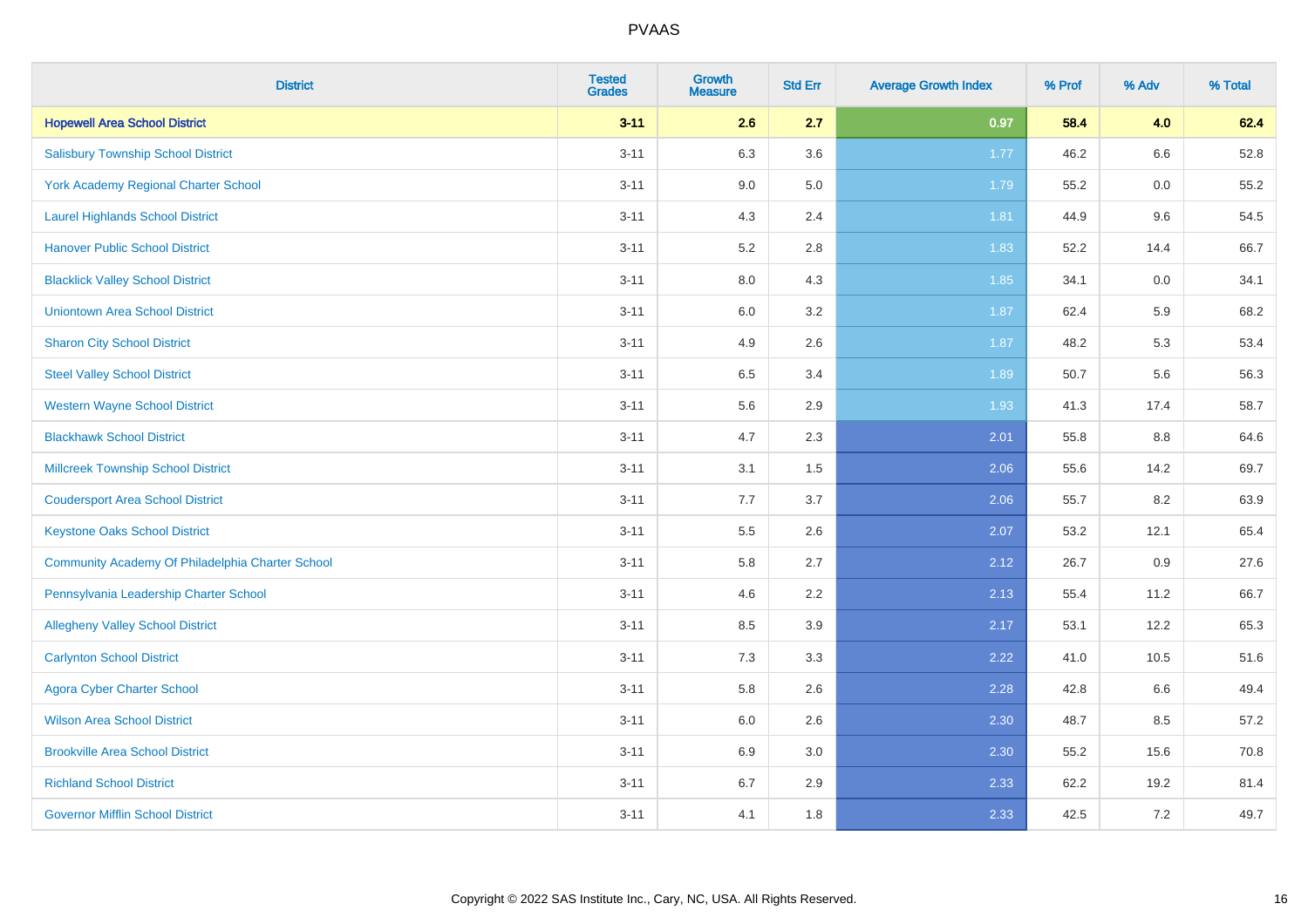| <b>District</b>                                  | <b>Tested</b><br><b>Grades</b> | <b>Growth</b><br><b>Measure</b> | <b>Std Err</b> | <b>Average Growth Index</b> | % Prof | % Adv   | % Total |
|--------------------------------------------------|--------------------------------|---------------------------------|----------------|-----------------------------|--------|---------|---------|
| <b>Hopewell Area School District</b>             | $3 - 11$                       | 2.6                             | 2.7            | 0.97                        | 58.4   | 4.0     | 62.4    |
| <b>Salisbury Township School District</b>        | $3 - 11$                       | 6.3                             | 3.6            | 1.77                        | 46.2   | 6.6     | 52.8    |
| <b>York Academy Regional Charter School</b>      | $3 - 11$                       | 9.0                             | 5.0            | 1.79                        | 55.2   | 0.0     | 55.2    |
| <b>Laurel Highlands School District</b>          | $3 - 11$                       | 4.3                             | 2.4            | 1.81                        | 44.9   | 9.6     | 54.5    |
| <b>Hanover Public School District</b>            | $3 - 11$                       | 5.2                             | 2.8            | 1.83                        | 52.2   | 14.4    | 66.7    |
| <b>Blacklick Valley School District</b>          | $3 - 11$                       | 8.0                             | 4.3            | 1.85                        | 34.1   | 0.0     | 34.1    |
| <b>Uniontown Area School District</b>            | $3 - 11$                       | 6.0                             | 3.2            | 1.87                        | 62.4   | 5.9     | 68.2    |
| <b>Sharon City School District</b>               | $3 - 11$                       | 4.9                             | 2.6            | 1.87                        | 48.2   | 5.3     | 53.4    |
| <b>Steel Valley School District</b>              | $3 - 11$                       | 6.5                             | 3.4            | 1.89                        | 50.7   | 5.6     | 56.3    |
| <b>Western Wayne School District</b>             | $3 - 11$                       | 5.6                             | 2.9            | 1.93                        | 41.3   | 17.4    | 58.7    |
| <b>Blackhawk School District</b>                 | $3 - 11$                       | 4.7                             | 2.3            | 2.01                        | 55.8   | 8.8     | 64.6    |
| <b>Millcreek Township School District</b>        | $3 - 11$                       | 3.1                             | 1.5            | 2.06                        | 55.6   | 14.2    | 69.7    |
| <b>Coudersport Area School District</b>          | $3 - 11$                       | 7.7                             | 3.7            | 2.06                        | 55.7   | 8.2     | 63.9    |
| <b>Keystone Oaks School District</b>             | $3 - 11$                       | $5.5\,$                         | 2.6            | 2.07                        | 53.2   | 12.1    | 65.4    |
| Community Academy Of Philadelphia Charter School | $3 - 11$                       | 5.8                             | 2.7            | 2.12                        | 26.7   | 0.9     | 27.6    |
| Pennsylvania Leadership Charter School           | $3 - 11$                       | 4.6                             | 2.2            | 2.13                        | 55.4   | 11.2    | 66.7    |
| <b>Allegheny Valley School District</b>          | $3 - 11$                       | 8.5                             | 3.9            | 2.17                        | 53.1   | 12.2    | 65.3    |
| <b>Carlynton School District</b>                 | $3 - 11$                       | 7.3                             | 3.3            | 2.22                        | 41.0   | 10.5    | 51.6    |
| <b>Agora Cyber Charter School</b>                | $3 - 11$                       | 5.8                             | 2.6            | 2.28                        | 42.8   | 6.6     | 49.4    |
| <b>Wilson Area School District</b>               | $3 - 11$                       | 6.0                             | 2.6            | 2.30                        | 48.7   | 8.5     | 57.2    |
| <b>Brookville Area School District</b>           | $3 - 11$                       | 6.9                             | 3.0            | 2.30                        | 55.2   | 15.6    | 70.8    |
| <b>Richland School District</b>                  | $3 - 11$                       | 6.7                             | 2.9            | 2.33                        | 62.2   | 19.2    | 81.4    |
| <b>Governor Mifflin School District</b>          | $3 - 11$                       | 4.1                             | 1.8            | 2.33                        | 42.5   | $7.2\,$ | 49.7    |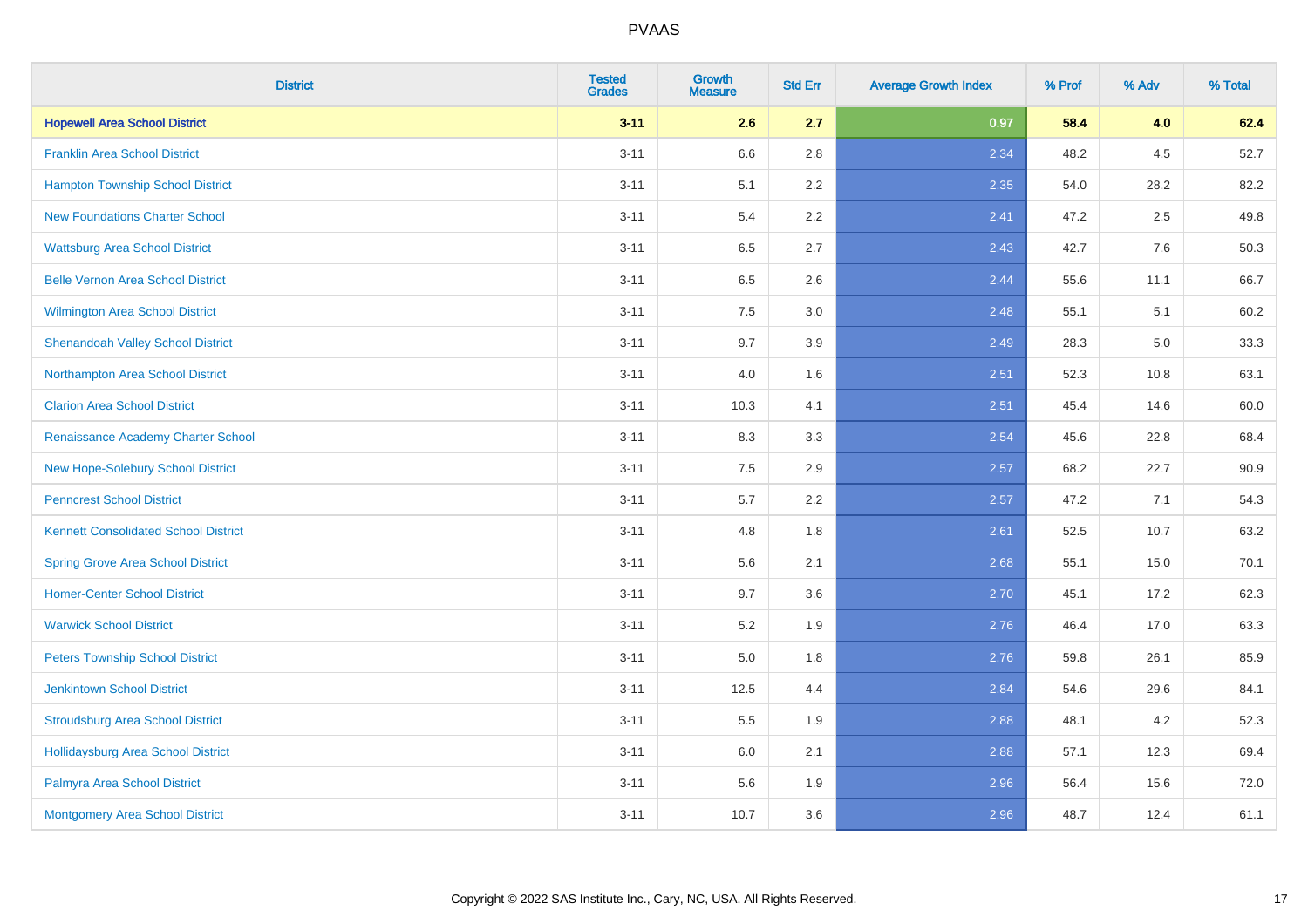| <b>District</b>                             | <b>Tested</b><br><b>Grades</b> | <b>Growth</b><br><b>Measure</b> | <b>Std Err</b> | <b>Average Growth Index</b> | % Prof | % Adv   | % Total |
|---------------------------------------------|--------------------------------|---------------------------------|----------------|-----------------------------|--------|---------|---------|
| <b>Hopewell Area School District</b>        | $3 - 11$                       | 2.6                             | 2.7            | 0.97                        | 58.4   | 4.0     | 62.4    |
| <b>Franklin Area School District</b>        | $3 - 11$                       | 6.6                             | 2.8            | 2.34                        | 48.2   | $4.5\,$ | 52.7    |
| <b>Hampton Township School District</b>     | $3 - 11$                       | 5.1                             | 2.2            | 2.35                        | 54.0   | 28.2    | 82.2    |
| <b>New Foundations Charter School</b>       | $3 - 11$                       | 5.4                             | 2.2            | 2.41                        | 47.2   | 2.5     | 49.8    |
| <b>Wattsburg Area School District</b>       | $3 - 11$                       | 6.5                             | 2.7            | 2.43                        | 42.7   | 7.6     | 50.3    |
| <b>Belle Vernon Area School District</b>    | $3 - 11$                       | 6.5                             | 2.6            | 2.44                        | 55.6   | 11.1    | 66.7    |
| Wilmington Area School District             | $3 - 11$                       | 7.5                             | 3.0            | 2.48                        | 55.1   | 5.1     | 60.2    |
| <b>Shenandoah Valley School District</b>    | $3 - 11$                       | 9.7                             | 3.9            | 2.49                        | 28.3   | 5.0     | 33.3    |
| Northampton Area School District            | $3 - 11$                       | 4.0                             | 1.6            | 2.51                        | 52.3   | 10.8    | 63.1    |
| <b>Clarion Area School District</b>         | $3 - 11$                       | 10.3                            | 4.1            | 2.51                        | 45.4   | 14.6    | 60.0    |
| Renaissance Academy Charter School          | $3 - 11$                       | 8.3                             | 3.3            | 2.54                        | 45.6   | 22.8    | 68.4    |
| New Hope-Solebury School District           | $3 - 11$                       | 7.5                             | 2.9            | 2.57                        | 68.2   | 22.7    | 90.9    |
| <b>Penncrest School District</b>            | $3 - 11$                       | 5.7                             | 2.2            | 2.57                        | 47.2   | 7.1     | 54.3    |
| <b>Kennett Consolidated School District</b> | $3 - 11$                       | 4.8                             | 1.8            | 2.61                        | 52.5   | 10.7    | 63.2    |
| <b>Spring Grove Area School District</b>    | $3 - 11$                       | 5.6                             | 2.1            | 2.68                        | 55.1   | 15.0    | 70.1    |
| <b>Homer-Center School District</b>         | $3 - 11$                       | 9.7                             | 3.6            | 2.70                        | 45.1   | 17.2    | 62.3    |
| <b>Warwick School District</b>              | $3 - 11$                       | 5.2                             | 1.9            | 2.76                        | 46.4   | 17.0    | 63.3    |
| <b>Peters Township School District</b>      | $3 - 11$                       | 5.0                             | 1.8            | 2.76                        | 59.8   | 26.1    | 85.9    |
| <b>Jenkintown School District</b>           | $3 - 11$                       | 12.5                            | 4.4            | 2.84                        | 54.6   | 29.6    | 84.1    |
| <b>Stroudsburg Area School District</b>     | $3 - 11$                       | 5.5                             | 1.9            | 2.88                        | 48.1   | 4.2     | 52.3    |
| <b>Hollidaysburg Area School District</b>   | $3 - 11$                       | 6.0                             | 2.1            | 2.88                        | 57.1   | 12.3    | 69.4    |
| Palmyra Area School District                | $3 - 11$                       | 5.6                             | 1.9            | 2.96                        | 56.4   | 15.6    | 72.0    |
| Montgomery Area School District             | $3 - 11$                       | 10.7                            | 3.6            | 2.96                        | 48.7   | 12.4    | 61.1    |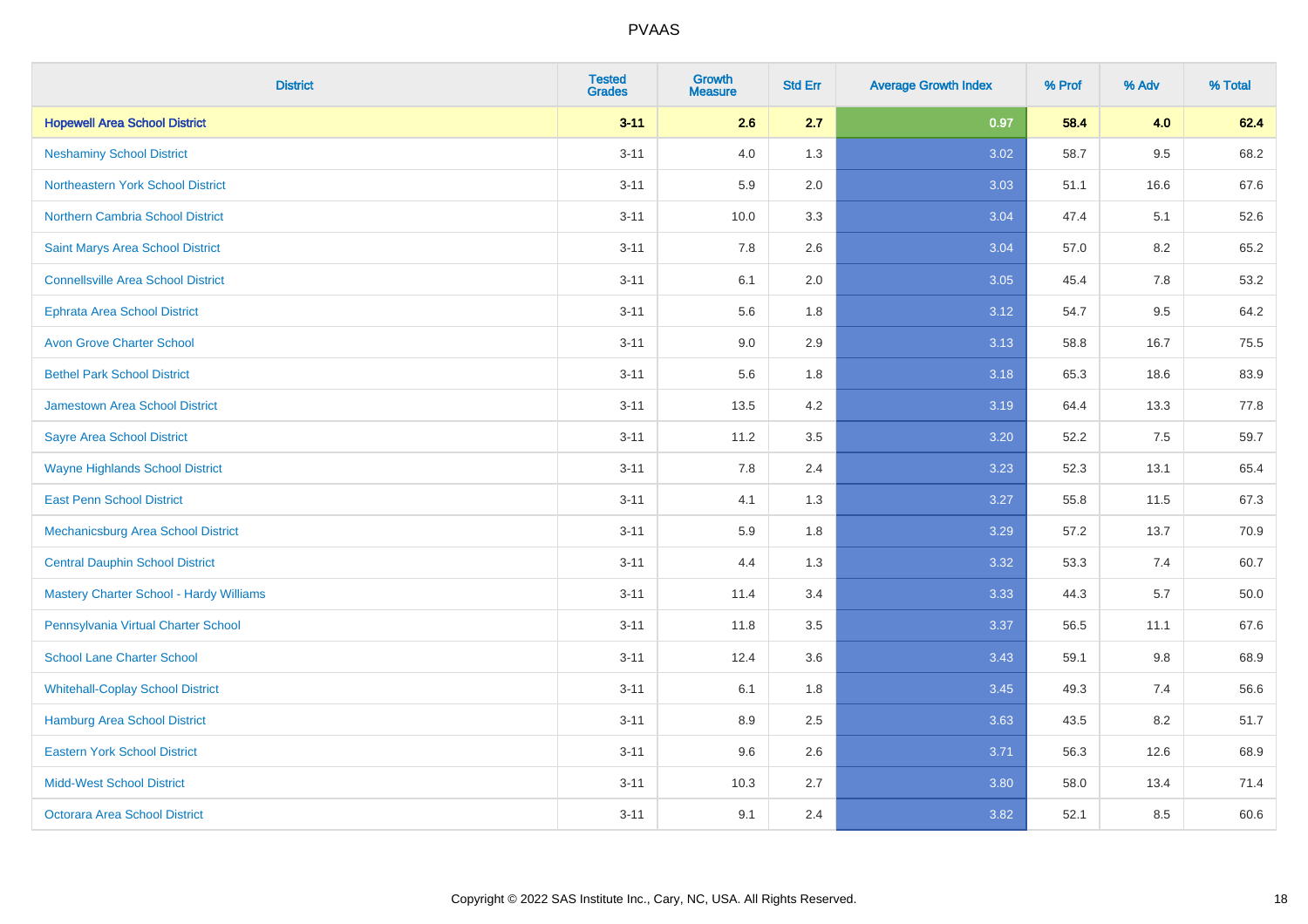| <b>District</b>                           | <b>Tested</b><br><b>Grades</b> | <b>Growth</b><br><b>Measure</b> | <b>Std Err</b> | <b>Average Growth Index</b> | % Prof | % Adv   | % Total |
|-------------------------------------------|--------------------------------|---------------------------------|----------------|-----------------------------|--------|---------|---------|
| <b>Hopewell Area School District</b>      | $3 - 11$                       | 2.6                             | 2.7            | 0.97                        | 58.4   | 4.0     | 62.4    |
| <b>Neshaminy School District</b>          | $3 - 11$                       | 4.0                             | 1.3            | 3.02                        | 58.7   | 9.5     | 68.2    |
| Northeastern York School District         | $3 - 11$                       | 5.9                             | 2.0            | 3.03                        | 51.1   | 16.6    | 67.6    |
| <b>Northern Cambria School District</b>   | $3 - 11$                       | 10.0                            | 3.3            | 3.04                        | 47.4   | 5.1     | 52.6    |
| Saint Marys Area School District          | $3 - 11$                       | 7.8                             | 2.6            | 3.04                        | 57.0   | 8.2     | 65.2    |
| <b>Connellsville Area School District</b> | $3 - 11$                       | 6.1                             | 2.0            | 3.05                        | 45.4   | 7.8     | 53.2    |
| <b>Ephrata Area School District</b>       | $3 - 11$                       | 5.6                             | 1.8            | 3.12                        | 54.7   | 9.5     | 64.2    |
| <b>Avon Grove Charter School</b>          | $3 - 11$                       | 9.0                             | 2.9            | 3.13                        | 58.8   | 16.7    | 75.5    |
| <b>Bethel Park School District</b>        | $3 - 11$                       | 5.6                             | 1.8            | 3.18                        | 65.3   | 18.6    | 83.9    |
| <b>Jamestown Area School District</b>     | $3 - 11$                       | 13.5                            | 4.2            | 3.19                        | 64.4   | 13.3    | 77.8    |
| <b>Sayre Area School District</b>         | $3 - 11$                       | 11.2                            | 3.5            | 3.20                        | 52.2   | 7.5     | 59.7    |
| <b>Wayne Highlands School District</b>    | $3 - 11$                       | 7.8                             | 2.4            | 3.23                        | 52.3   | 13.1    | 65.4    |
| <b>East Penn School District</b>          | $3 - 11$                       | 4.1                             | 1.3            | 3.27                        | 55.8   | 11.5    | 67.3    |
| Mechanicsburg Area School District        | $3 - 11$                       | 5.9                             | 1.8            | 3.29                        | 57.2   | 13.7    | 70.9    |
| <b>Central Dauphin School District</b>    | $3 - 11$                       | 4.4                             | 1.3            | 3.32                        | 53.3   | 7.4     | 60.7    |
| Mastery Charter School - Hardy Williams   | $3 - 11$                       | 11.4                            | 3.4            | 3.33                        | 44.3   | 5.7     | 50.0    |
| Pennsylvania Virtual Charter School       | $3 - 11$                       | 11.8                            | 3.5            | 3.37                        | 56.5   | 11.1    | 67.6    |
| <b>School Lane Charter School</b>         | $3 - 11$                       | 12.4                            | 3.6            | 3.43                        | 59.1   | $9.8\,$ | 68.9    |
| <b>Whitehall-Coplay School District</b>   | $3 - 11$                       | 6.1                             | 1.8            | 3.45                        | 49.3   | 7.4     | 56.6    |
| <b>Hamburg Area School District</b>       | $3 - 11$                       | 8.9                             | 2.5            | 3.63                        | 43.5   | 8.2     | 51.7    |
| <b>Eastern York School District</b>       | $3 - 11$                       | 9.6                             | 2.6            | 3.71                        | 56.3   | 12.6    | 68.9    |
| <b>Midd-West School District</b>          | $3 - 11$                       | 10.3                            | 2.7            | 3.80                        | 58.0   | 13.4    | 71.4    |
| <b>Octorara Area School District</b>      | $3 - 11$                       | 9.1                             | 2.4            | 3.82                        | 52.1   | 8.5     | 60.6    |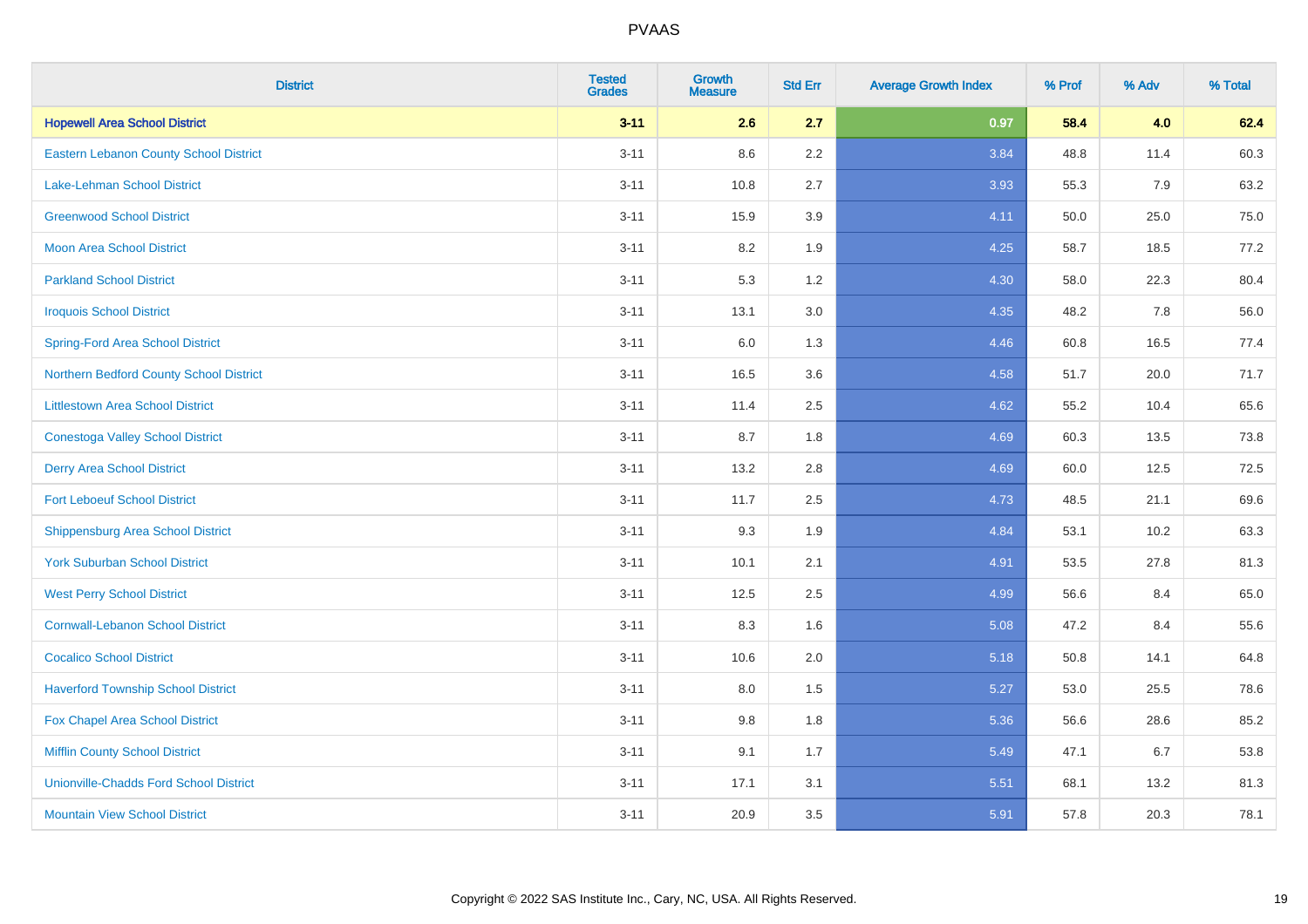| <b>District</b>                               | <b>Tested</b><br><b>Grades</b> | <b>Growth</b><br><b>Measure</b> | <b>Std Err</b> | <b>Average Growth Index</b> | % Prof | % Adv | % Total |
|-----------------------------------------------|--------------------------------|---------------------------------|----------------|-----------------------------|--------|-------|---------|
| <b>Hopewell Area School District</b>          | $3 - 11$                       | 2.6                             | 2.7            | 0.97                        | 58.4   | 4.0   | 62.4    |
| <b>Eastern Lebanon County School District</b> | $3 - 11$                       | 8.6                             | 2.2            | 3.84                        | 48.8   | 11.4  | 60.3    |
| <b>Lake-Lehman School District</b>            | $3 - 11$                       | 10.8                            | 2.7            | 3.93                        | 55.3   | 7.9   | 63.2    |
| <b>Greenwood School District</b>              | $3 - 11$                       | 15.9                            | 3.9            | 4.11                        | 50.0   | 25.0  | 75.0    |
| <b>Moon Area School District</b>              | $3 - 11$                       | 8.2                             | 1.9            | 4.25                        | 58.7   | 18.5  | 77.2    |
| <b>Parkland School District</b>               | $3 - 11$                       | 5.3                             | 1.2            | 4.30                        | 58.0   | 22.3  | 80.4    |
| <b>Iroquois School District</b>               | $3 - 11$                       | 13.1                            | 3.0            | 4.35                        | 48.2   | 7.8   | 56.0    |
| <b>Spring-Ford Area School District</b>       | $3 - 11$                       | 6.0                             | 1.3            | 4.46                        | 60.8   | 16.5  | 77.4    |
| Northern Bedford County School District       | $3 - 11$                       | 16.5                            | 3.6            | 4.58                        | 51.7   | 20.0  | 71.7    |
| <b>Littlestown Area School District</b>       | $3 - 11$                       | 11.4                            | 2.5            | 4.62                        | 55.2   | 10.4  | 65.6    |
| <b>Conestoga Valley School District</b>       | $3 - 11$                       | 8.7                             | 1.8            | 4.69                        | 60.3   | 13.5  | 73.8    |
| <b>Derry Area School District</b>             | $3 - 11$                       | 13.2                            | 2.8            | 4.69                        | 60.0   | 12.5  | 72.5    |
| <b>Fort Leboeuf School District</b>           | $3 - 11$                       | 11.7                            | 2.5            | 4.73                        | 48.5   | 21.1  | 69.6    |
| <b>Shippensburg Area School District</b>      | $3 - 11$                       | 9.3                             | 1.9            | 4.84                        | 53.1   | 10.2  | 63.3    |
| <b>York Suburban School District</b>          | $3 - 11$                       | 10.1                            | 2.1            | 4.91                        | 53.5   | 27.8  | 81.3    |
| <b>West Perry School District</b>             | $3 - 11$                       | 12.5                            | 2.5            | 4.99                        | 56.6   | 8.4   | 65.0    |
| <b>Cornwall-Lebanon School District</b>       | $3 - 11$                       | 8.3                             | 1.6            | 5.08                        | 47.2   | 8.4   | 55.6    |
| <b>Cocalico School District</b>               | $3 - 11$                       | 10.6                            | 2.0            | 5.18                        | 50.8   | 14.1  | 64.8    |
| <b>Haverford Township School District</b>     | $3 - 11$                       | 8.0                             | 1.5            | 5.27                        | 53.0   | 25.5  | 78.6    |
| Fox Chapel Area School District               | $3 - 11$                       | 9.8                             | 1.8            | 5.36                        | 56.6   | 28.6  | 85.2    |
| <b>Mifflin County School District</b>         | $3 - 11$                       | 9.1                             | 1.7            | 5.49                        | 47.1   | 6.7   | 53.8    |
| <b>Unionville-Chadds Ford School District</b> | $3 - 11$                       | 17.1                            | 3.1            | 5.51                        | 68.1   | 13.2  | 81.3    |
| <b>Mountain View School District</b>          | $3 - 11$                       | 20.9                            | 3.5            | 5.91                        | 57.8   | 20.3  | 78.1    |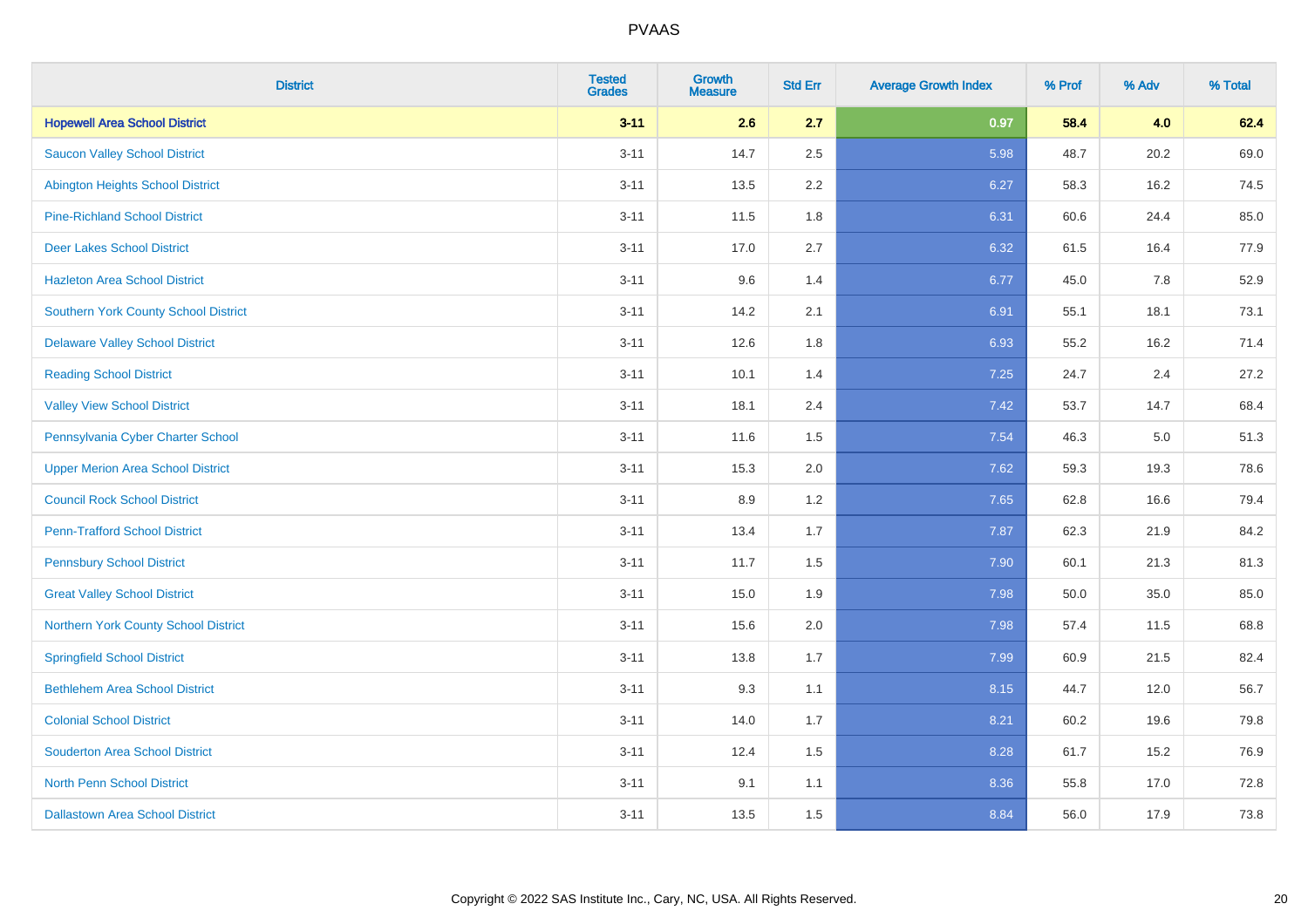| <b>District</b>                          | <b>Tested</b><br><b>Grades</b> | <b>Growth</b><br><b>Measure</b> | <b>Std Err</b> | <b>Average Growth Index</b> | % Prof | % Adv | % Total |
|------------------------------------------|--------------------------------|---------------------------------|----------------|-----------------------------|--------|-------|---------|
| <b>Hopewell Area School District</b>     | $3 - 11$                       | 2.6                             | 2.7            | 0.97                        | 58.4   | 4.0   | 62.4    |
| <b>Saucon Valley School District</b>     | $3 - 11$                       | 14.7                            | 2.5            | 5.98                        | 48.7   | 20.2  | 69.0    |
| <b>Abington Heights School District</b>  | $3 - 11$                       | 13.5                            | 2.2            | 6.27                        | 58.3   | 16.2  | 74.5    |
| <b>Pine-Richland School District</b>     | $3 - 11$                       | 11.5                            | 1.8            | 6.31                        | 60.6   | 24.4  | 85.0    |
| <b>Deer Lakes School District</b>        | $3 - 11$                       | 17.0                            | 2.7            | 6.32                        | 61.5   | 16.4  | 77.9    |
| <b>Hazleton Area School District</b>     | $3 - 11$                       | 9.6                             | 1.4            | 6.77                        | 45.0   | 7.8   | 52.9    |
| Southern York County School District     | $3 - 11$                       | 14.2                            | 2.1            | 6.91                        | 55.1   | 18.1  | 73.1    |
| <b>Delaware Valley School District</b>   | $3 - 11$                       | 12.6                            | 1.8            | 6.93                        | 55.2   | 16.2  | 71.4    |
| <b>Reading School District</b>           | $3 - 11$                       | 10.1                            | 1.4            | 7.25                        | 24.7   | 2.4   | 27.2    |
| <b>Valley View School District</b>       | $3 - 11$                       | 18.1                            | 2.4            | 7.42                        | 53.7   | 14.7  | 68.4    |
| Pennsylvania Cyber Charter School        | $3 - 11$                       | 11.6                            | 1.5            | 7.54                        | 46.3   | 5.0   | 51.3    |
| <b>Upper Merion Area School District</b> | $3 - 11$                       | 15.3                            | 2.0            | 7.62                        | 59.3   | 19.3  | 78.6    |
| <b>Council Rock School District</b>      | $3 - 11$                       | 8.9                             | 1.2            | 7.65                        | 62.8   | 16.6  | 79.4    |
| <b>Penn-Trafford School District</b>     | $3 - 11$                       | 13.4                            | 1.7            | 7.87                        | 62.3   | 21.9  | 84.2    |
| <b>Pennsbury School District</b>         | $3 - 11$                       | 11.7                            | 1.5            | 7.90                        | 60.1   | 21.3  | 81.3    |
| <b>Great Valley School District</b>      | $3 - 11$                       | 15.0                            | 1.9            | 7.98                        | 50.0   | 35.0  | 85.0    |
| Northern York County School District     | $3 - 11$                       | 15.6                            | 2.0            | 7.98                        | 57.4   | 11.5  | 68.8    |
| <b>Springfield School District</b>       | $3 - 11$                       | 13.8                            | 1.7            | 7.99                        | 60.9   | 21.5  | 82.4    |
| <b>Bethlehem Area School District</b>    | $3 - 11$                       | 9.3                             | 1.1            | 8.15                        | 44.7   | 12.0  | 56.7    |
| <b>Colonial School District</b>          | $3 - 11$                       | 14.0                            | 1.7            | 8.21                        | 60.2   | 19.6  | 79.8    |
| <b>Souderton Area School District</b>    | $3 - 11$                       | 12.4                            | 1.5            | 8.28                        | 61.7   | 15.2  | 76.9    |
| <b>North Penn School District</b>        | $3 - 11$                       | 9.1                             | 1.1            | 8.36                        | 55.8   | 17.0  | 72.8    |
| <b>Dallastown Area School District</b>   | $3 - 11$                       | 13.5                            | 1.5            | 8.84                        | 56.0   | 17.9  | 73.8    |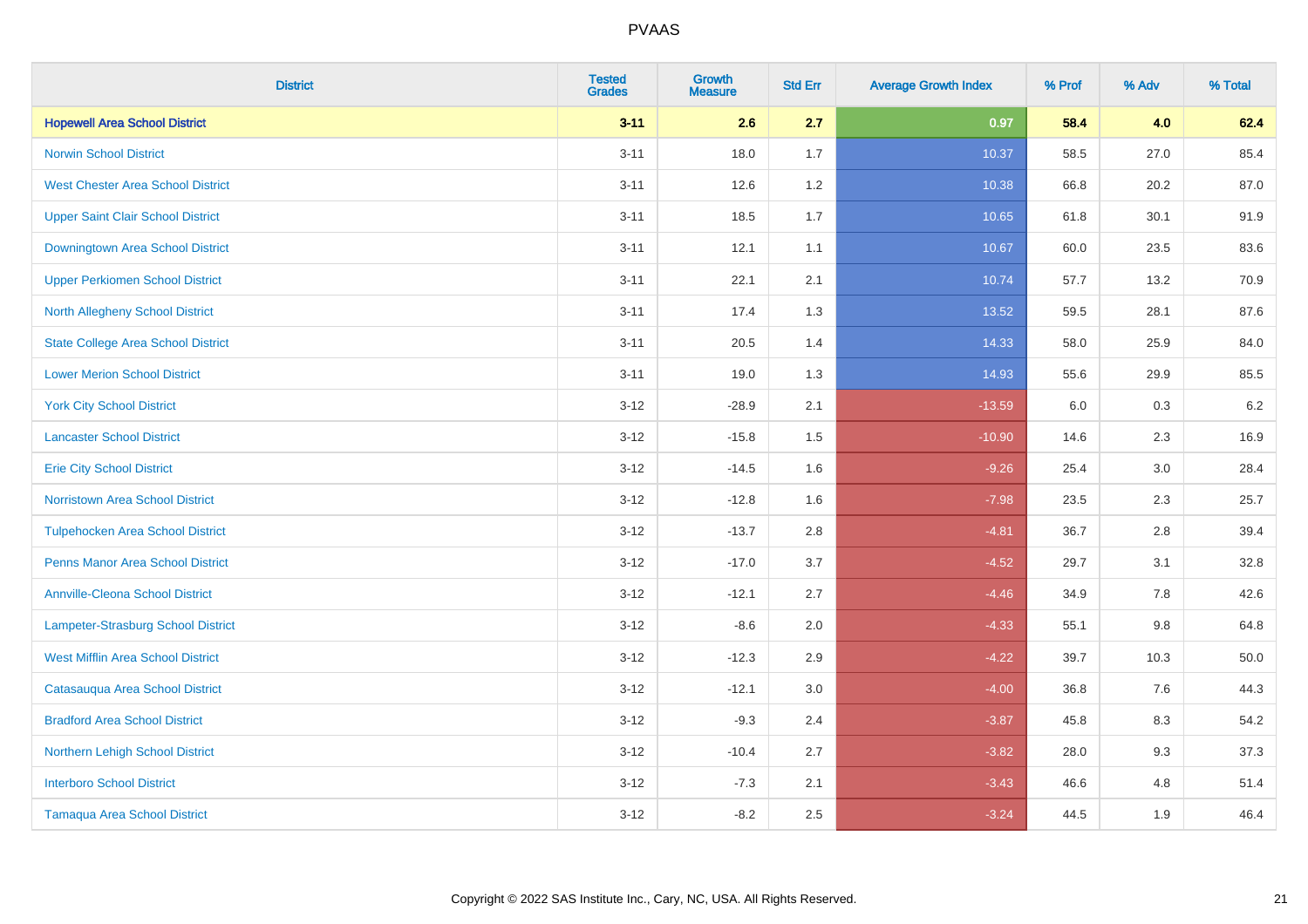| <b>District</b>                           | <b>Tested</b><br><b>Grades</b> | Growth<br><b>Measure</b> | <b>Std Err</b> | <b>Average Growth Index</b> | % Prof | % Adv   | % Total |
|-------------------------------------------|--------------------------------|--------------------------|----------------|-----------------------------|--------|---------|---------|
| <b>Hopewell Area School District</b>      | $3 - 11$                       | 2.6                      | 2.7            | 0.97                        | 58.4   | 4.0     | 62.4    |
| <b>Norwin School District</b>             | $3 - 11$                       | 18.0                     | 1.7            | 10.37                       | 58.5   | 27.0    | 85.4    |
| <b>West Chester Area School District</b>  | $3 - 11$                       | 12.6                     | 1.2            | 10.38                       | 66.8   | 20.2    | 87.0    |
| <b>Upper Saint Clair School District</b>  | $3 - 11$                       | 18.5                     | 1.7            | 10.65                       | 61.8   | 30.1    | 91.9    |
| Downingtown Area School District          | $3 - 11$                       | 12.1                     | 1.1            | 10.67                       | 60.0   | 23.5    | 83.6    |
| <b>Upper Perkiomen School District</b>    | $3 - 11$                       | 22.1                     | 2.1            | 10.74                       | 57.7   | 13.2    | 70.9    |
| North Allegheny School District           | $3 - 11$                       | 17.4                     | 1.3            | 13.52                       | 59.5   | 28.1    | 87.6    |
| <b>State College Area School District</b> | $3 - 11$                       | 20.5                     | 1.4            | 14.33                       | 58.0   | 25.9    | 84.0    |
| <b>Lower Merion School District</b>       | $3 - 11$                       | 19.0                     | 1.3            | 14.93                       | 55.6   | 29.9    | 85.5    |
| <b>York City School District</b>          | $3 - 12$                       | $-28.9$                  | 2.1            | $-13.59$                    | 6.0    | 0.3     | $6.2\,$ |
| <b>Lancaster School District</b>          | $3 - 12$                       | $-15.8$                  | 1.5            | $-10.90$                    | 14.6   | 2.3     | 16.9    |
| <b>Erie City School District</b>          | $3 - 12$                       | $-14.5$                  | 1.6            | $-9.26$                     | 25.4   | 3.0     | 28.4    |
| <b>Norristown Area School District</b>    | $3 - 12$                       | $-12.8$                  | 1.6            | $-7.98$                     | 23.5   | $2.3\,$ | 25.7    |
| <b>Tulpehocken Area School District</b>   | $3 - 12$                       | $-13.7$                  | 2.8            | $-4.81$                     | 36.7   | 2.8     | 39.4    |
| <b>Penns Manor Area School District</b>   | $3 - 12$                       | $-17.0$                  | 3.7            | $-4.52$                     | 29.7   | 3.1     | 32.8    |
| <b>Annville-Cleona School District</b>    | $3 - 12$                       | $-12.1$                  | 2.7            | $-4.46$                     | 34.9   | 7.8     | 42.6    |
| <b>Lampeter-Strasburg School District</b> | $3 - 12$                       | $-8.6$                   | 2.0            | $-4.33$                     | 55.1   | 9.8     | 64.8    |
| <b>West Mifflin Area School District</b>  | $3 - 12$                       | $-12.3$                  | 2.9            | $-4.22$                     | 39.7   | 10.3    | 50.0    |
| Catasauqua Area School District           | $3 - 12$                       | $-12.1$                  | 3.0            | $-4.00$                     | 36.8   | 7.6     | 44.3    |
| <b>Bradford Area School District</b>      | $3-12$                         | $-9.3$                   | 2.4            | $-3.87$                     | 45.8   | 8.3     | 54.2    |
| Northern Lehigh School District           | $3 - 12$                       | $-10.4$                  | 2.7            | $-3.82$                     | 28.0   | 9.3     | 37.3    |
| <b>Interboro School District</b>          | $3 - 12$                       | $-7.3$                   | 2.1            | $-3.43$                     | 46.6   | 4.8     | 51.4    |
| <b>Tamaqua Area School District</b>       | $3 - 12$                       | $-8.2$                   | 2.5            | $-3.24$                     | 44.5   | 1.9     | 46.4    |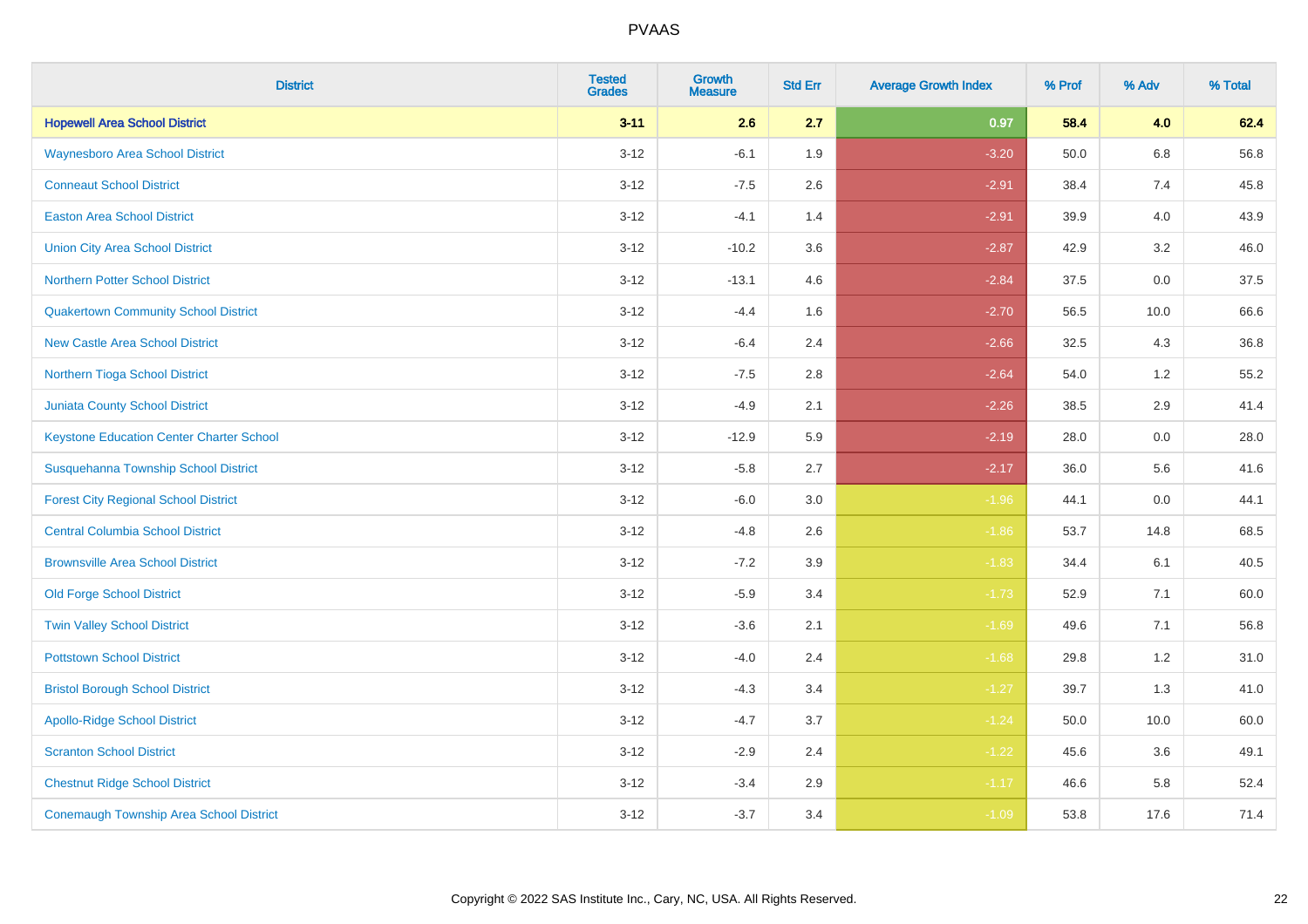| <b>District</b>                                 | <b>Tested</b><br><b>Grades</b> | <b>Growth</b><br><b>Measure</b> | <b>Std Err</b> | <b>Average Growth Index</b> | % Prof | % Adv   | % Total |
|-------------------------------------------------|--------------------------------|---------------------------------|----------------|-----------------------------|--------|---------|---------|
| <b>Hopewell Area School District</b>            | $3 - 11$                       | 2.6                             | 2.7            | 0.97                        | 58.4   | 4.0     | 62.4    |
| <b>Waynesboro Area School District</b>          | $3 - 12$                       | $-6.1$                          | 1.9            | $-3.20$                     | 50.0   | $6.8\,$ | 56.8    |
| <b>Conneaut School District</b>                 | $3 - 12$                       | $-7.5$                          | 2.6            | $-2.91$                     | 38.4   | 7.4     | 45.8    |
| <b>Easton Area School District</b>              | $3 - 12$                       | $-4.1$                          | 1.4            | $-2.91$                     | 39.9   | 4.0     | 43.9    |
| <b>Union City Area School District</b>          | $3-12$                         | $-10.2$                         | 3.6            | $-2.87$                     | 42.9   | 3.2     | 46.0    |
| <b>Northern Potter School District</b>          | $3 - 12$                       | $-13.1$                         | 4.6            | $-2.84$                     | 37.5   | 0.0     | 37.5    |
| <b>Quakertown Community School District</b>     | $3 - 12$                       | $-4.4$                          | 1.6            | $-2.70$                     | 56.5   | 10.0    | 66.6    |
| <b>New Castle Area School District</b>          | $3 - 12$                       | $-6.4$                          | 2.4            | $-2.66$                     | 32.5   | 4.3     | 36.8    |
| Northern Tioga School District                  | $3 - 12$                       | $-7.5$                          | 2.8            | $-2.64$                     | 54.0   | 1.2     | 55.2    |
| <b>Juniata County School District</b>           | $3-12$                         | $-4.9$                          | 2.1            | $-2.26$                     | 38.5   | 2.9     | 41.4    |
| <b>Keystone Education Center Charter School</b> | $3 - 12$                       | $-12.9$                         | 5.9            | $-2.19$                     | 28.0   | 0.0     | 28.0    |
| Susquehanna Township School District            | $3 - 12$                       | $-5.8$                          | 2.7            | $-2.17$                     | 36.0   | 5.6     | 41.6    |
| <b>Forest City Regional School District</b>     | $3 - 12$                       | $-6.0$                          | $3.0\,$        | $-1.96$                     | 44.1   | $0.0\,$ | 44.1    |
| <b>Central Columbia School District</b>         | $3 - 12$                       | $-4.8$                          | 2.6            | $-1.86$                     | 53.7   | 14.8    | 68.5    |
| <b>Brownsville Area School District</b>         | $3 - 12$                       | $-7.2$                          | 3.9            | $-1.83$                     | 34.4   | 6.1     | 40.5    |
| <b>Old Forge School District</b>                | $3 - 12$                       | $-5.9$                          | 3.4            | $-1.73$                     | 52.9   | 7.1     | 60.0    |
| <b>Twin Valley School District</b>              | $3 - 12$                       | $-3.6$                          | 2.1            | $-1.69$                     | 49.6   | 7.1     | 56.8    |
| <b>Pottstown School District</b>                | $3 - 12$                       | $-4.0$                          | 2.4            | $-1.68$                     | 29.8   | 1.2     | 31.0    |
| <b>Bristol Borough School District</b>          | $3 - 12$                       | $-4.3$                          | 3.4            | $-1.27$                     | 39.7   | 1.3     | 41.0    |
| <b>Apollo-Ridge School District</b>             | $3 - 12$                       | $-4.7$                          | 3.7            | $-1.24$                     | 50.0   | 10.0    | 60.0    |
| <b>Scranton School District</b>                 | $3-12$                         | $-2.9$                          | 2.4            | $-1.22$                     | 45.6   | 3.6     | 49.1    |
| <b>Chestnut Ridge School District</b>           | $3 - 12$                       | $-3.4$                          | 2.9            | $-1.17$                     | 46.6   | 5.8     | 52.4    |
| <b>Conemaugh Township Area School District</b>  | $3 - 12$                       | $-3.7$                          | 3.4            | $-1.09$                     | 53.8   | 17.6    | 71.4    |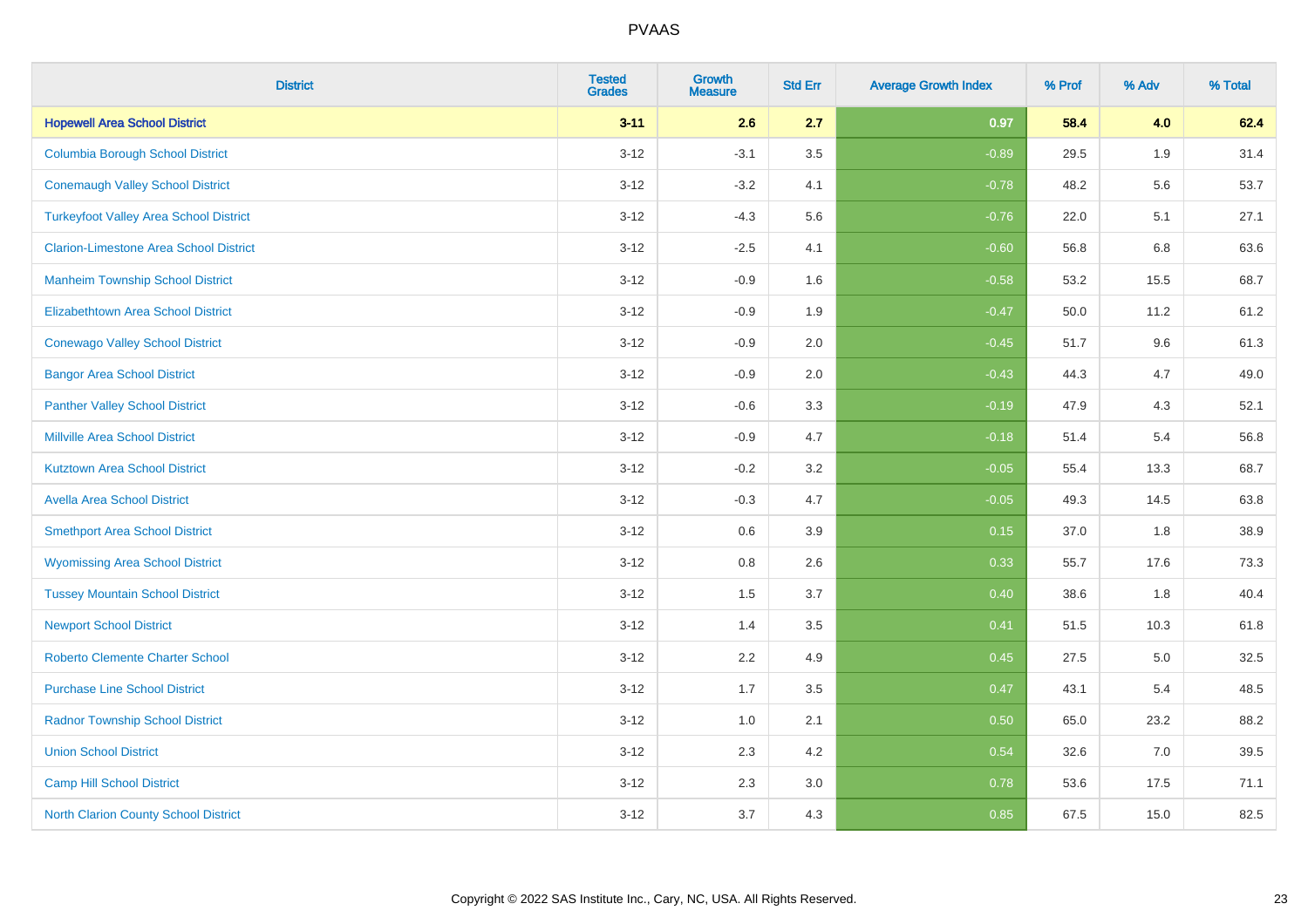| <b>District</b>                               | <b>Tested</b><br><b>Grades</b> | <b>Growth</b><br><b>Measure</b> | <b>Std Err</b> | <b>Average Growth Index</b> | % Prof | % Adv | % Total |
|-----------------------------------------------|--------------------------------|---------------------------------|----------------|-----------------------------|--------|-------|---------|
| <b>Hopewell Area School District</b>          | $3 - 11$                       | 2.6                             | 2.7            | 0.97                        | 58.4   | 4.0   | 62.4    |
| <b>Columbia Borough School District</b>       | $3 - 12$                       | $-3.1$                          | 3.5            | $-0.89$                     | 29.5   | 1.9   | 31.4    |
| <b>Conemaugh Valley School District</b>       | $3 - 12$                       | $-3.2$                          | 4.1            | $-0.78$                     | 48.2   | 5.6   | 53.7    |
| <b>Turkeyfoot Valley Area School District</b> | $3 - 12$                       | $-4.3$                          | 5.6            | $-0.76$                     | 22.0   | 5.1   | 27.1    |
| <b>Clarion-Limestone Area School District</b> | $3 - 12$                       | $-2.5$                          | 4.1            | $-0.60$                     | 56.8   | 6.8   | 63.6    |
| <b>Manheim Township School District</b>       | $3 - 12$                       | $-0.9$                          | 1.6            | $-0.58$                     | 53.2   | 15.5  | 68.7    |
| Elizabethtown Area School District            | $3 - 12$                       | $-0.9$                          | 1.9            | $-0.47$                     | 50.0   | 11.2  | 61.2    |
| <b>Conewago Valley School District</b>        | $3 - 12$                       | $-0.9$                          | 2.0            | $-0.45$                     | 51.7   | 9.6   | 61.3    |
| <b>Bangor Area School District</b>            | $3 - 12$                       | $-0.9$                          | 2.0            | $-0.43$                     | 44.3   | 4.7   | 49.0    |
| <b>Panther Valley School District</b>         | $3 - 12$                       | $-0.6$                          | 3.3            | $-0.19$                     | 47.9   | 4.3   | 52.1    |
| <b>Millville Area School District</b>         | $3 - 12$                       | $-0.9$                          | 4.7            | $-0.18$                     | 51.4   | 5.4   | 56.8    |
| <b>Kutztown Area School District</b>          | $3 - 12$                       | $-0.2$                          | 3.2            | $-0.05$                     | 55.4   | 13.3  | 68.7    |
| <b>Avella Area School District</b>            | $3 - 12$                       | $-0.3$                          | 4.7            | $-0.05$                     | 49.3   | 14.5  | 63.8    |
| <b>Smethport Area School District</b>         | $3 - 12$                       | 0.6                             | 3.9            | 0.15                        | 37.0   | 1.8   | 38.9    |
| <b>Wyomissing Area School District</b>        | $3 - 12$                       | 0.8                             | 2.6            | 0.33                        | 55.7   | 17.6  | 73.3    |
| <b>Tussey Mountain School District</b>        | $3 - 12$                       | 1.5                             | 3.7            | 0.40                        | 38.6   | 1.8   | 40.4    |
| <b>Newport School District</b>                | $3 - 12$                       | 1.4                             | 3.5            | 0.41                        | 51.5   | 10.3  | 61.8    |
| <b>Roberto Clemente Charter School</b>        | $3 - 12$                       | 2.2                             | 4.9            | 0.45                        | 27.5   | 5.0   | 32.5    |
| <b>Purchase Line School District</b>          | $3 - 12$                       | 1.7                             | 3.5            | 0.47                        | 43.1   | 5.4   | 48.5    |
| <b>Radnor Township School District</b>        | $3 - 12$                       | 1.0                             | 2.1            | 0.50                        | 65.0   | 23.2  | 88.2    |
| <b>Union School District</b>                  | $3 - 12$                       | 2.3                             | 4.2            | 0.54                        | 32.6   | 7.0   | 39.5    |
| <b>Camp Hill School District</b>              | $3 - 12$                       | 2.3                             | 3.0            | 0.78                        | 53.6   | 17.5  | 71.1    |
| North Clarion County School District          | $3 - 12$                       | 3.7                             | 4.3            | 0.85                        | 67.5   | 15.0  | 82.5    |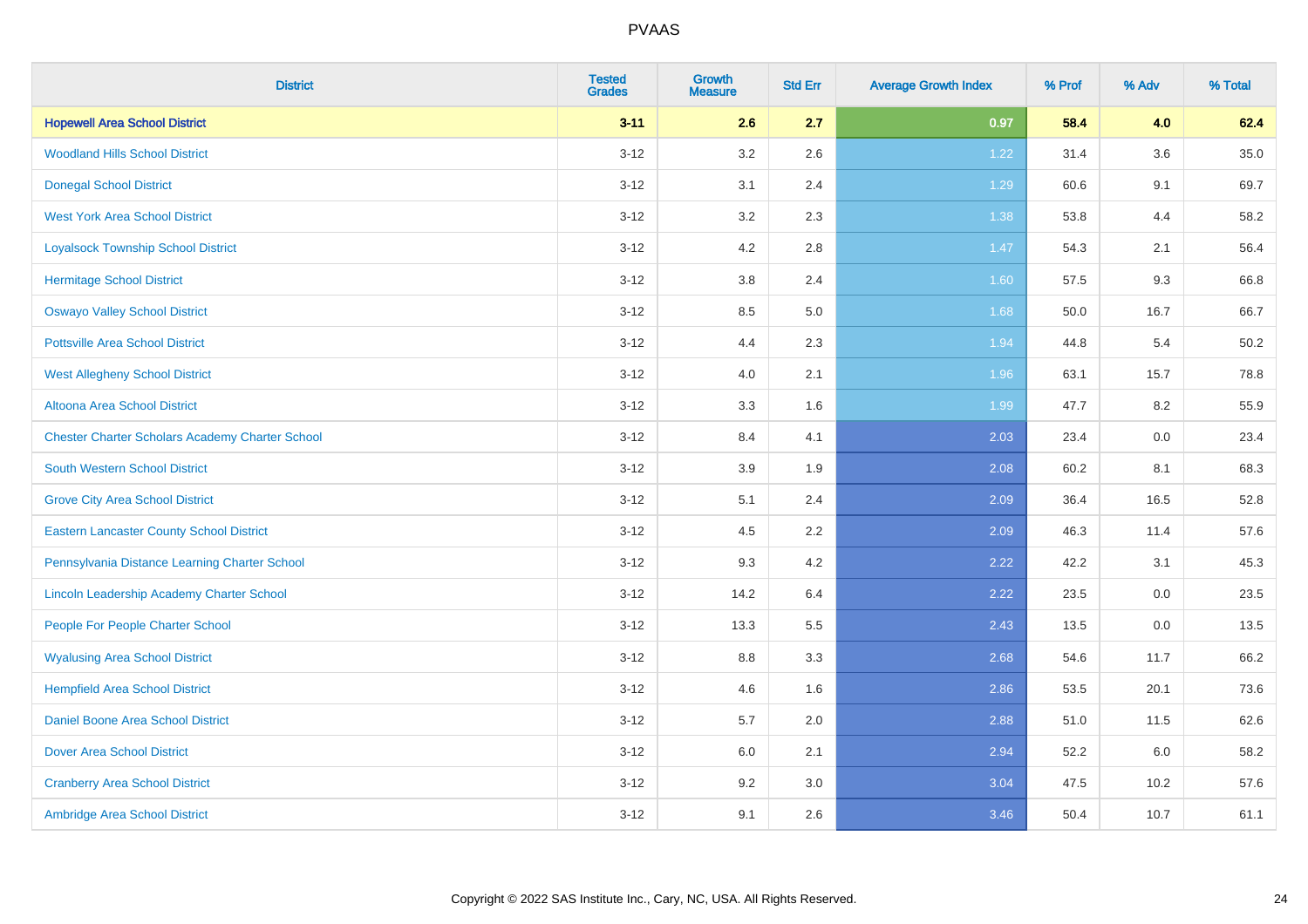| <b>District</b>                                        | <b>Tested</b><br><b>Grades</b> | <b>Growth</b><br><b>Measure</b> | <b>Std Err</b> | <b>Average Growth Index</b> | % Prof | % Adv   | % Total  |
|--------------------------------------------------------|--------------------------------|---------------------------------|----------------|-----------------------------|--------|---------|----------|
| <b>Hopewell Area School District</b>                   | $3 - 11$                       | 2.6                             | 2.7            | 0.97                        | 58.4   | 4.0     | 62.4     |
| <b>Woodland Hills School District</b>                  | $3 - 12$                       | $3.2\,$                         | 2.6            | 1.22                        | 31.4   | $3.6\,$ | $35.0\,$ |
| <b>Donegal School District</b>                         | $3 - 12$                       | 3.1                             | 2.4            | 1.29                        | 60.6   | 9.1     | 69.7     |
| <b>West York Area School District</b>                  | $3 - 12$                       | 3.2                             | 2.3            | 1.38                        | 53.8   | 4.4     | 58.2     |
| <b>Loyalsock Township School District</b>              | $3 - 12$                       | 4.2                             | 2.8            | $1.47$                      | 54.3   | 2.1     | 56.4     |
| <b>Hermitage School District</b>                       | $3 - 12$                       | 3.8                             | 2.4            | 1.60                        | 57.5   | 9.3     | 66.8     |
| <b>Oswayo Valley School District</b>                   | $3 - 12$                       | 8.5                             | 5.0            | 1.68                        | 50.0   | 16.7    | 66.7     |
| <b>Pottsville Area School District</b>                 | $3 - 12$                       | 4.4                             | 2.3            | 1.94                        | 44.8   | 5.4     | 50.2     |
| <b>West Allegheny School District</b>                  | $3 - 12$                       | 4.0                             | 2.1            | 1.96                        | 63.1   | 15.7    | 78.8     |
| Altoona Area School District                           | $3 - 12$                       | 3.3                             | 1.6            | 1.99                        | 47.7   | 8.2     | 55.9     |
| <b>Chester Charter Scholars Academy Charter School</b> | $3 - 12$                       | 8.4                             | 4.1            | 2.03                        | 23.4   | 0.0     | 23.4     |
| South Western School District                          | $3 - 12$                       | 3.9                             | 1.9            | 2.08                        | 60.2   | 8.1     | 68.3     |
| <b>Grove City Area School District</b>                 | $3 - 12$                       | 5.1                             | 2.4            | 2.09                        | 36.4   | 16.5    | 52.8     |
| <b>Eastern Lancaster County School District</b>        | $3 - 12$                       | 4.5                             | 2.2            | 2.09                        | 46.3   | 11.4    | 57.6     |
| Pennsylvania Distance Learning Charter School          | $3 - 12$                       | 9.3                             | 4.2            | 2.22                        | 42.2   | 3.1     | 45.3     |
| Lincoln Leadership Academy Charter School              | $3 - 12$                       | 14.2                            | 6.4            | 2.22                        | 23.5   | $0.0\,$ | 23.5     |
| People For People Charter School                       | $3 - 12$                       | 13.3                            | 5.5            | 2.43                        | 13.5   | 0.0     | 13.5     |
| <b>Wyalusing Area School District</b>                  | $3 - 12$                       | 8.8                             | 3.3            | 2.68                        | 54.6   | 11.7    | 66.2     |
| <b>Hempfield Area School District</b>                  | $3 - 12$                       | 4.6                             | 1.6            | 2.86                        | 53.5   | 20.1    | 73.6     |
| <b>Daniel Boone Area School District</b>               | $3 - 12$                       | 5.7                             | 2.0            | 2.88                        | 51.0   | 11.5    | 62.6     |
| <b>Dover Area School District</b>                      | $3 - 12$                       | 6.0                             | 2.1            | 2.94                        | 52.2   | 6.0     | 58.2     |
| <b>Cranberry Area School District</b>                  | $3 - 12$                       | 9.2                             | 3.0            | 3.04                        | 47.5   | 10.2    | 57.6     |
| Ambridge Area School District                          | $3 - 12$                       | 9.1                             | 2.6            | 3.46                        | 50.4   | 10.7    | 61.1     |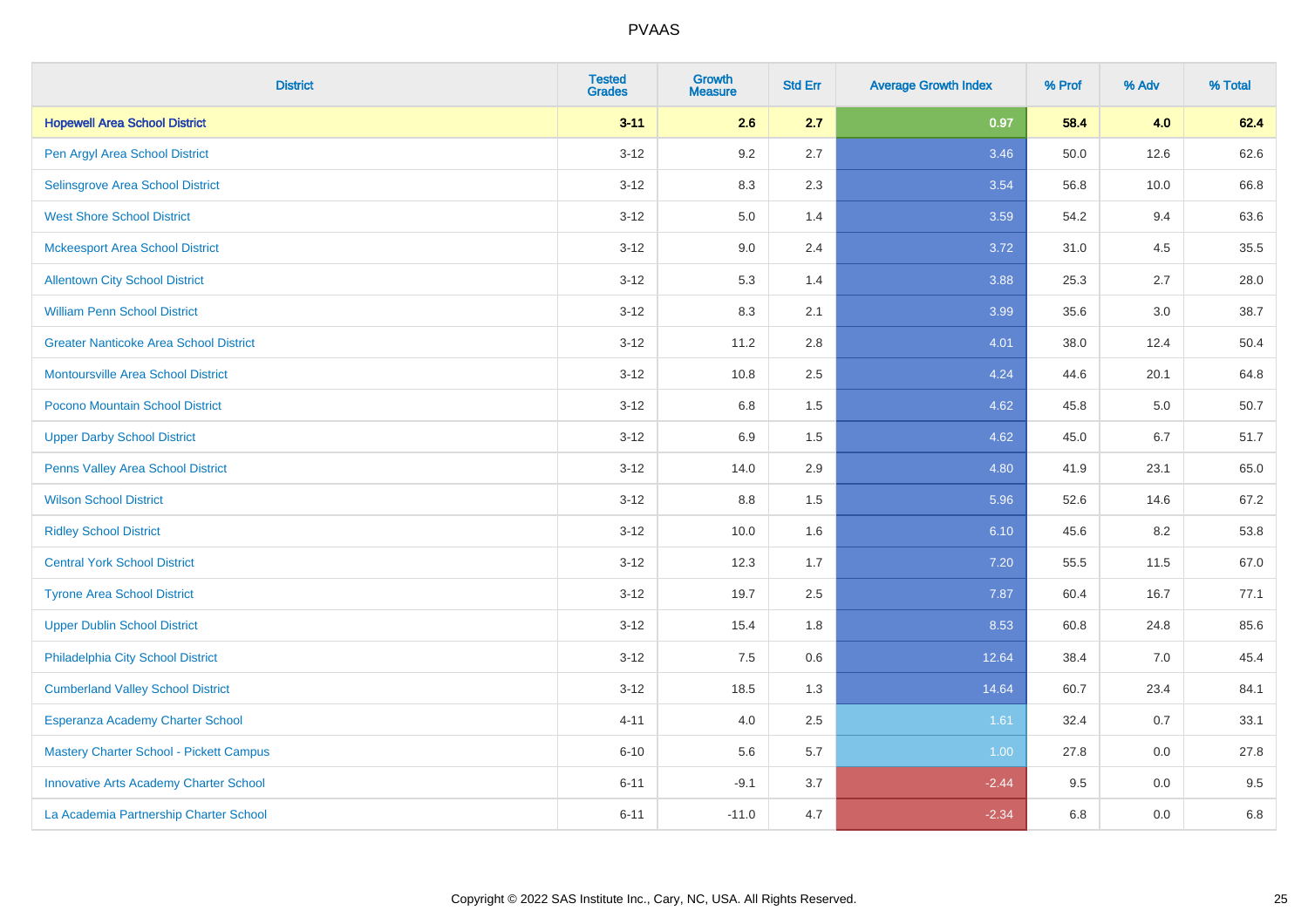| <b>District</b>                               | <b>Tested</b><br><b>Grades</b> | <b>Growth</b><br><b>Measure</b> | <b>Std Err</b> | <b>Average Growth Index</b> | % Prof | % Adv | % Total |
|-----------------------------------------------|--------------------------------|---------------------------------|----------------|-----------------------------|--------|-------|---------|
| <b>Hopewell Area School District</b>          | $3 - 11$                       | 2.6                             | 2.7            | 0.97                        | 58.4   | 4.0   | 62.4    |
| Pen Argyl Area School District                | $3 - 12$                       | $9.2\,$                         | 2.7            | 3.46                        | 50.0   | 12.6  | 62.6    |
| Selinsgrove Area School District              | $3 - 12$                       | 8.3                             | 2.3            | 3.54                        | 56.8   | 10.0  | 66.8    |
| <b>West Shore School District</b>             | $3 - 12$                       | $5.0\,$                         | 1.4            | 3.59                        | 54.2   | 9.4   | 63.6    |
| <b>Mckeesport Area School District</b>        | $3 - 12$                       | 9.0                             | 2.4            | 3.72                        | 31.0   | 4.5   | 35.5    |
| <b>Allentown City School District</b>         | $3 - 12$                       | 5.3                             | 1.4            | 3.88                        | 25.3   | 2.7   | 28.0    |
| <b>William Penn School District</b>           | $3-12$                         | 8.3                             | 2.1            | 3.99                        | 35.6   | 3.0   | 38.7    |
| <b>Greater Nanticoke Area School District</b> | $3 - 12$                       | 11.2                            | 2.8            | 4.01                        | 38.0   | 12.4  | 50.4    |
| Montoursville Area School District            | $3 - 12$                       | 10.8                            | 2.5            | 4.24                        | 44.6   | 20.1  | 64.8    |
| Pocono Mountain School District               | $3 - 12$                       | 6.8                             | 1.5            | 4.62                        | 45.8   | 5.0   | 50.7    |
| <b>Upper Darby School District</b>            | $3 - 12$                       | 6.9                             | 1.5            | 4.62                        | 45.0   | 6.7   | 51.7    |
| Penns Valley Area School District             | $3 - 12$                       | 14.0                            | 2.9            | 4.80                        | 41.9   | 23.1  | 65.0    |
| <b>Wilson School District</b>                 | $3 - 12$                       | 8.8                             | 1.5            | 5.96                        | 52.6   | 14.6  | 67.2    |
| <b>Ridley School District</b>                 | $3-12$                         | 10.0                            | 1.6            | 6.10                        | 45.6   | 8.2   | 53.8    |
| <b>Central York School District</b>           | $3 - 12$                       | 12.3                            | 1.7            | 7.20                        | 55.5   | 11.5  | 67.0    |
| <b>Tyrone Area School District</b>            | $3 - 12$                       | 19.7                            | 2.5            | 7.87                        | 60.4   | 16.7  | 77.1    |
| <b>Upper Dublin School District</b>           | $3-12$                         | 15.4                            | 1.8            | 8.53                        | 60.8   | 24.8  | 85.6    |
| Philadelphia City School District             | $3 - 12$                       | 7.5                             | 0.6            | 12.64                       | 38.4   | 7.0   | 45.4    |
| <b>Cumberland Valley School District</b>      | $3 - 12$                       | 18.5                            | 1.3            | 14.64                       | 60.7   | 23.4  | 84.1    |
| Esperanza Academy Charter School              | $4 - 11$                       | 4.0                             | 2.5            | 1.61                        | 32.4   | 0.7   | 33.1    |
| Mastery Charter School - Pickett Campus       | $6 - 10$                       | 5.6                             | 5.7            | 1.00                        | 27.8   | 0.0   | 27.8    |
| <b>Innovative Arts Academy Charter School</b> | $6 - 11$                       | $-9.1$                          | 3.7            | $-2.44$                     | 9.5    | 0.0   | 9.5     |
| La Academia Partnership Charter School        | $6 - 11$                       | $-11.0$                         | 4.7            | $-2.34$                     | 6.8    | 0.0   | 6.8     |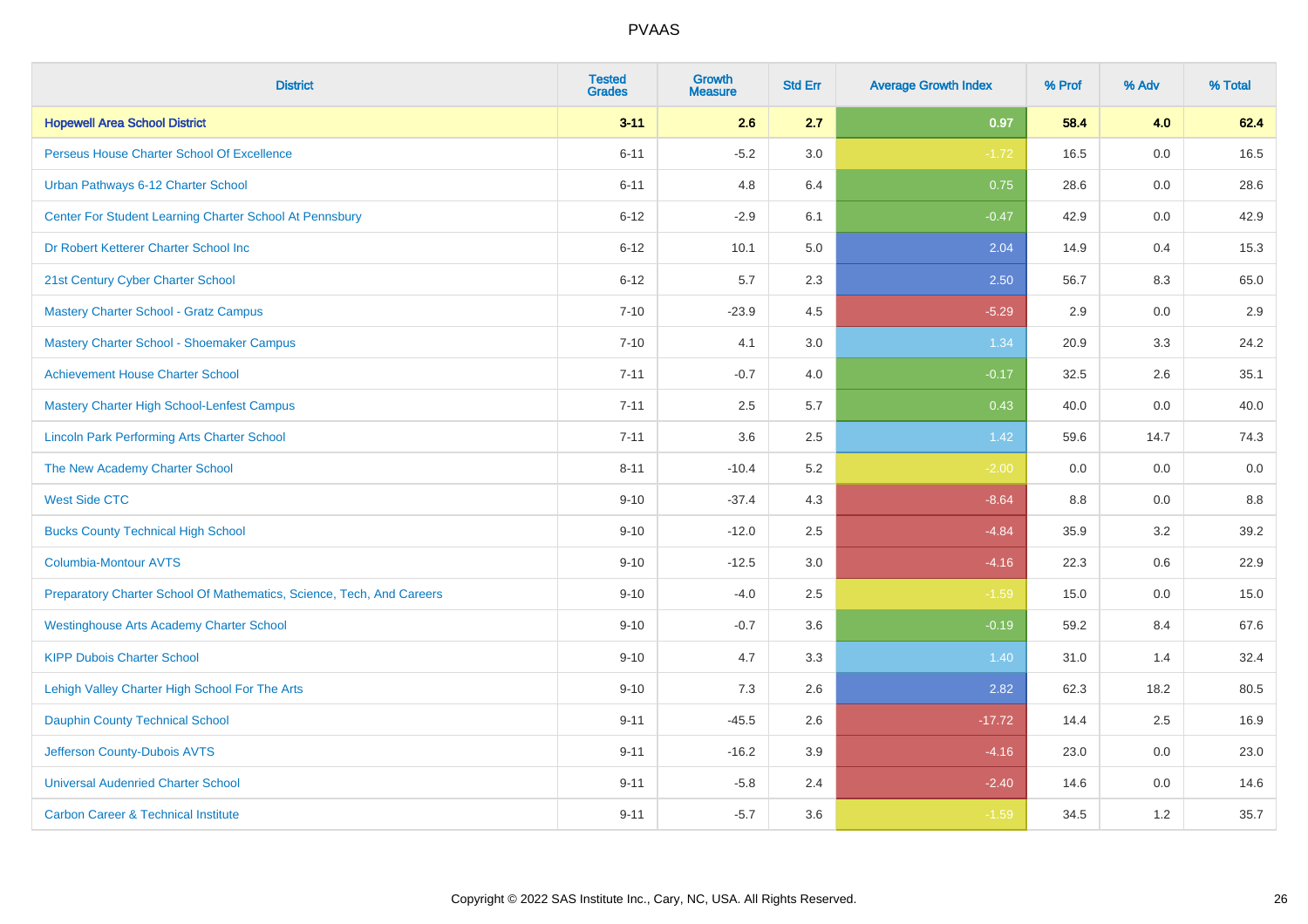| <b>District</b>                                                       | <b>Tested</b><br><b>Grades</b> | <b>Growth</b><br><b>Measure</b> | <b>Std Err</b> | <b>Average Growth Index</b> | % Prof  | % Adv | % Total |
|-----------------------------------------------------------------------|--------------------------------|---------------------------------|----------------|-----------------------------|---------|-------|---------|
| <b>Hopewell Area School District</b>                                  | $3 - 11$                       | 2.6                             | 2.7            | 0.97                        | 58.4    | 4.0   | 62.4    |
| Perseus House Charter School Of Excellence                            | $6 - 11$                       | $-5.2$                          | 3.0            | $-1.72$                     | 16.5    | 0.0   | 16.5    |
| Urban Pathways 6-12 Charter School                                    | $6 - 11$                       | 4.8                             | 6.4            | 0.75                        | 28.6    | 0.0   | 28.6    |
| Center For Student Learning Charter School At Pennsbury               | $6 - 12$                       | $-2.9$                          | 6.1            | $-0.47$                     | 42.9    | 0.0   | 42.9    |
| Dr Robert Ketterer Charter School Inc                                 | $6 - 12$                       | 10.1                            | 5.0            | 2.04                        | 14.9    | 0.4   | 15.3    |
| 21st Century Cyber Charter School                                     | $6 - 12$                       | 5.7                             | 2.3            | 2.50                        | 56.7    | 8.3   | 65.0    |
| <b>Mastery Charter School - Gratz Campus</b>                          | $7 - 10$                       | $-23.9$                         | 4.5            | $-5.29$                     | 2.9     | 0.0   | 2.9     |
| <b>Mastery Charter School - Shoemaker Campus</b>                      | $7 - 10$                       | 4.1                             | 3.0            | 1.34                        | 20.9    | 3.3   | 24.2    |
| <b>Achievement House Charter School</b>                               | $7 - 11$                       | $-0.7$                          | 4.0            | $-0.17$                     | 32.5    | 2.6   | 35.1    |
| <b>Mastery Charter High School-Lenfest Campus</b>                     | $7 - 11$                       | 2.5                             | 5.7            | 0.43                        | 40.0    | 0.0   | 40.0    |
| <b>Lincoln Park Performing Arts Charter School</b>                    | $7 - 11$                       | 3.6                             | 2.5            | 1.42                        | 59.6    | 14.7  | 74.3    |
| The New Academy Charter School                                        | $8 - 11$                       | $-10.4$                         | 5.2            | $-2.00$                     | 0.0     | 0.0   | 0.0     |
| <b>West Side CTC</b>                                                  | $9 - 10$                       | $-37.4$                         | 4.3            | $-8.64$                     | $8.8\,$ | 0.0   | 8.8     |
| <b>Bucks County Technical High School</b>                             | $9 - 10$                       | $-12.0$                         | 2.5            | $-4.84$                     | 35.9    | 3.2   | 39.2    |
| <b>Columbia-Montour AVTS</b>                                          | $9 - 10$                       | $-12.5$                         | 3.0            | $-4.16$                     | 22.3    | 0.6   | 22.9    |
| Preparatory Charter School Of Mathematics, Science, Tech, And Careers | $9 - 10$                       | $-4.0$                          | 2.5            | $-1.59$                     | 15.0    | 0.0   | 15.0    |
| <b>Westinghouse Arts Academy Charter School</b>                       | $9 - 10$                       | $-0.7$                          | 3.6            | $-0.19$                     | 59.2    | 8.4   | 67.6    |
| <b>KIPP Dubois Charter School</b>                                     | $9 - 10$                       | 4.7                             | 3.3            | 1.40                        | 31.0    | 1.4   | 32.4    |
| Lehigh Valley Charter High School For The Arts                        | $9 - 10$                       | $7.3$                           | 2.6            | 2.82                        | 62.3    | 18.2  | 80.5    |
| <b>Dauphin County Technical School</b>                                | $9 - 11$                       | $-45.5$                         | 2.6            | $-17.72$                    | 14.4    | 2.5   | 16.9    |
| Jefferson County-Dubois AVTS                                          | $9 - 11$                       | $-16.2$                         | 3.9            | $-4.16$                     | 23.0    | 0.0   | 23.0    |
| <b>Universal Audenried Charter School</b>                             | $9 - 11$                       | $-5.8$                          | 2.4            | $-2.40$                     | 14.6    | 0.0   | 14.6    |
| <b>Carbon Career &amp; Technical Institute</b>                        | $9 - 11$                       | $-5.7$                          | 3.6            | $-1.59$                     | 34.5    | 1.2   | 35.7    |